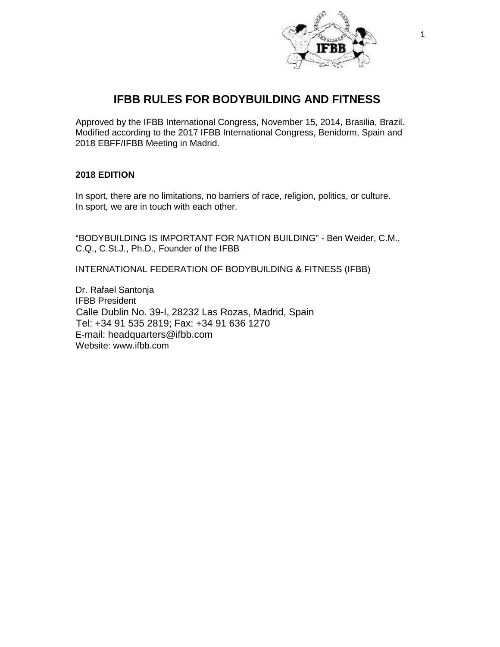

# **IFBB RULES FOR BODYBUILDING AND FITNESS**

Approved by the IFBB International Congress, November 15, 2014, Brasilia, Brazil. Modified according to the 2017 IFBB International Congress, Benidorm, Spain and 2018 EBFF/IFBB Meeting in Madrid.

# **2018 EDITION**

In sport, there are no limitations, no barriers of race, religion, politics, or culture. In sport, we are in touch with each other.

"BODYBUILDING IS IMPORTANT FOR NATION BUILDING" - Ben Weider, C.M., C.Q., C.St.J., Ph.D., Founder of the IFBB

INTERNATIONAL FEDERATION OF BODYBUILDING & FITNESS (IFBB)

Dr. Rafael Santonja IFBB President Calle Dublin No. 39-I, 28232 Las Rozas, Madrid, Spain Tel: +34 91 535 2819; Fax: +34 91 636 1270 E-mail: [headquarters@ifbb.com](mailto:headquarters@ifbb.com) Website: [www.ifbb.com](http://www.ifbb.com/)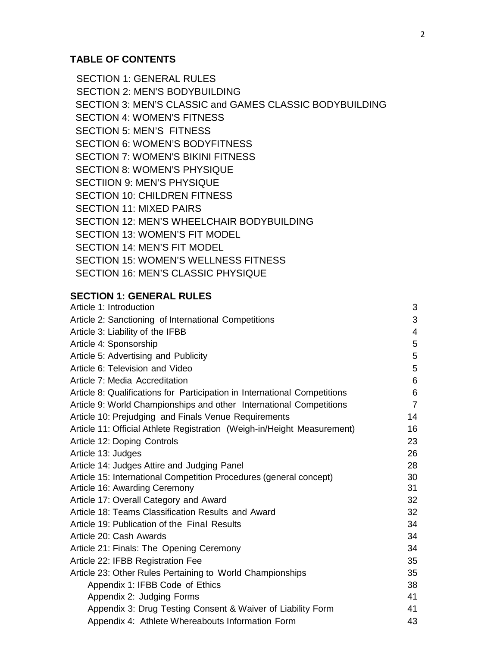# **TABLE OF CONTENTS**

SECTION 1: GENERAL RULES SECTION 2: MEN'S BODYBUILDING SECTION 3: MEN'S CLASSIC and GAMES CLASSIC BODYBUILDING SECTION 4: WOMEN'S FITNESS SECTION 5: MEN'S FITNESS SECTION 6: WOMEN'S BODYFITNESS SECTION 7: WOMEN'S BIKINI FITNESS SECTION 8: WOMEN'S PHYSIQUE SECTIION 9: MEN'S PHYSIQUE SECTION 10: CHILDREN FITNESS SECTION 11: MIXED PAIRS SECTION 12: MEN'S WHEELCHAIR BODYBUILDING SECTION 13: WOMEN'S FIT MODEL SECTION 14: MEN'S FIT MODEL SECTION 15: WOMEN'S WELLNESS FITNESS SECTION 16: MEN'S CLASSIC PHYSIQUE

# **SECTION 1: GENERAL RULES**

| Article 1: Introduction                                                   | 3              |
|---------------------------------------------------------------------------|----------------|
| Article 2: Sanctioning of International Competitions                      | 3              |
| Article 3: Liability of the IFBB                                          | 4              |
| Article 4: Sponsorship                                                    | 5              |
| Article 5: Advertising and Publicity                                      | 5              |
| Article 6: Television and Video                                           | 5              |
| Article 7: Media Accreditation                                            | 6              |
| Article 8: Qualifications for Participation in International Competitions | 6              |
| Article 9: World Championships and other International Competitions       | $\overline{7}$ |
| Article 10: Prejudging and Finals Venue Requirements                      | 14             |
| Article 11: Official Athlete Registration (Weigh-in/Height Measurement)   | 16             |
| Article 12: Doping Controls                                               | 23             |
| Article 13: Judges                                                        | 26             |
| Article 14: Judges Attire and Judging Panel                               | 28             |
| Article 15: International Competition Procedures (general concept)        | 30             |
| Article 16: Awarding Ceremony                                             | 31             |
| Article 17: Overall Category and Award                                    | 32             |
| Article 18: Teams Classification Results and Award                        | 32             |
| Article 19: Publication of the Final Results                              | 34             |
| Article 20: Cash Awards                                                   | 34             |
| Article 21: Finals: The Opening Ceremony                                  | 34             |
| Article 22: IFBB Registration Fee                                         | 35             |
| Article 23: Other Rules Pertaining to World Championships                 | 35             |
| Appendix 1: IFBB Code of Ethics                                           | 38             |
| Appendix 2: Judging Forms                                                 | 41             |
| Appendix 3: Drug Testing Consent & Waiver of Liability Form               | 41             |
| Appendix 4: Athlete Whereabouts Information Form                          | 43             |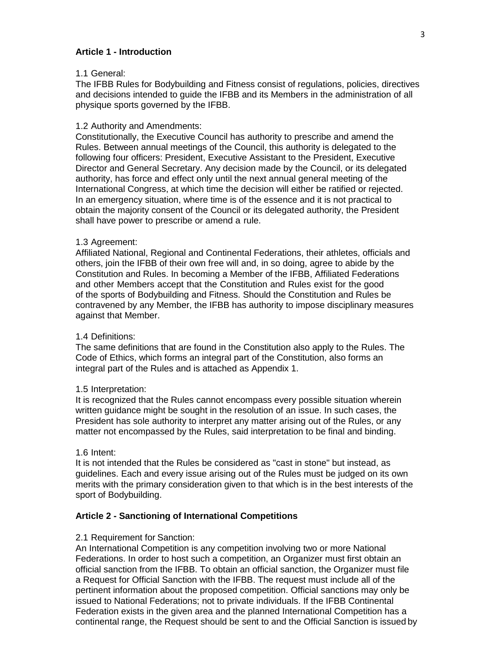### **Article 1 - Introduction**

#### 1.1 General:

The IFBB Rules for Bodybuilding and Fitness consist of regulations, policies, directives and decisions intended to guide the IFBB and its Members in the administration of all physique sports governed by the IFBB.

### 1.2 Authority and Amendments:

Constitutionally, the Executive Council has authority to prescribe and amend the Rules. Between annual meetings of the Council, this authority is delegated to the following four officers: President, Executive Assistant to the President, Executive Director and General Secretary. Any decision made by the Council, or its delegated authority, has force and effect only until the next annual general meeting of the International Congress, at which time the decision will either be ratified or rejected. In an emergency situation, where time is of the essence and it is not practical to obtain the majority consent of the Council or its delegated authority, the President shall have power to prescribe or amend a rule.

#### 1.3 Agreement:

Affiliated National, Regional and Continental Federations, their athletes, officials and others, join the IFBB of their own free will and, in so doing, agree to abide by the Constitution and Rules. In becoming a Member of the IFBB, Affiliated Federations and other Members accept that the Constitution and Rules exist for the good of the sports of Bodybuilding and Fitness. Should the Constitution and Rules be contravened by any Member, the IFBB has authority to impose disciplinary measures against that Member.

#### 1.4 Definitions:

The same definitions that are found in the Constitution also apply to the Rules. The Code of Ethics, which forms an integral part of the Constitution, also forms an integral part of the Rules and is attached as Appendix 1.

#### 1.5 Interpretation:

It is recognized that the Rules cannot encompass every possible situation wherein written guidance might be sought in the resolution of an issue. In such cases, the President has sole authority to interpret any matter arising out of the Rules, or any matter not encompassed by the Rules, said interpretation to be final and binding.

#### 1.6 Intent:

It is not intended that the Rules be considered as "cast in stone" but instead, as guidelines. Each and every issue arising out of the Rules must be judged on its own merits with the primary consideration given to that which is in the best interests of the sport of Bodybuilding.

#### **Article 2 - Sanctioning of International Competitions**

#### 2.1 Requirement for Sanction:

An International Competition is any competition involving two or more National Federations. In order to host such a competition, an Organizer must first obtain an official sanction from the IFBB. To obtain an official sanction, the Organizer must file a Request for Official Sanction with the IFBB. The request must include all of the pertinent information about the proposed competition. Official sanctions may only be issued to National Federations; not to private individuals. If the IFBB Continental Federation exists in the given area and the planned International Competition has a continental range, the Request should be sent to and the Official Sanction is issued by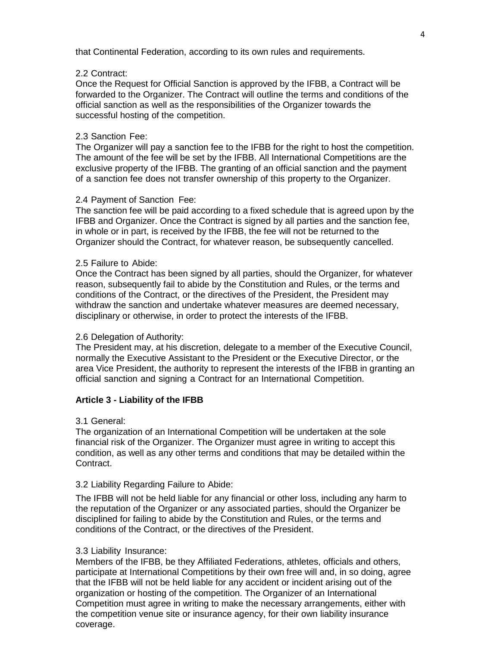that Continental Federation, according to its own rules and requirements.

#### 2.2 Contract:

Once the Request for Official Sanction is approved by the IFBB, a Contract will be forwarded to the Organizer. The Contract will outline the terms and conditions of the official sanction as well as the responsibilities of the Organizer towards the successful hosting of the competition.

### 2.3 Sanction Fee:

The Organizer will pay a sanction fee to the IFBB for the right to host the competition. The amount of the fee will be set by the IFBB. All International Competitions are the exclusive property of the IFBB. The granting of an official sanction and the payment of a sanction fee does not transfer ownership of this property to the Organizer.

### 2.4 Payment of Sanction Fee:

The sanction fee will be paid according to a fixed schedule that is agreed upon by the IFBB and Organizer. Once the Contract is signed by all parties and the sanction fee, in whole or in part, is received by the IFBB, the fee will not be returned to the Organizer should the Contract, for whatever reason, be subsequently cancelled.

### 2.5 Failure to Abide:

Once the Contract has been signed by all parties, should the Organizer, for whatever reason, subsequently fail to abide by the Constitution and Rules, or the terms and conditions of the Contract, or the directives of the President, the President may withdraw the sanction and undertake whatever measures are deemed necessary, disciplinary or otherwise, in order to protect the interests of the IFBB.

#### 2.6 Delegation of Authority:

The President may, at his discretion, delegate to a member of the Executive Council, normally the Executive Assistant to the President or the Executive Director, or the area Vice President, the authority to represent the interests of the IFBB in granting an official sanction and signing a Contract for an International Competition.

#### **Article 3 - Liability of the IFBB**

#### 3.1 General:

The organization of an International Competition will be undertaken at the sole financial risk of the Organizer. The Organizer must agree in writing to accept this condition, as well as any other terms and conditions that may be detailed within the Contract.

### 3.2 Liability Regarding Failure to Abide:

The IFBB will not be held liable for any financial or other loss, including any harm to the reputation of the Organizer or any associated parties, should the Organizer be disciplined for failing to abide by the Constitution and Rules, or the terms and conditions of the Contract, or the directives of the President.

#### 3.3 Liability Insurance:

Members of the IFBB, be they Affiliated Federations, athletes, officials and others, participate at International Competitions by their own free will and, in so doing, agree that the IFBB will not be held liable for any accident or incident arising out of the organization or hosting of the competition. The Organizer of an International Competition must agree in writing to make the necessary arrangements, either with the competition venue site or insurance agency, for their own liability insurance coverage.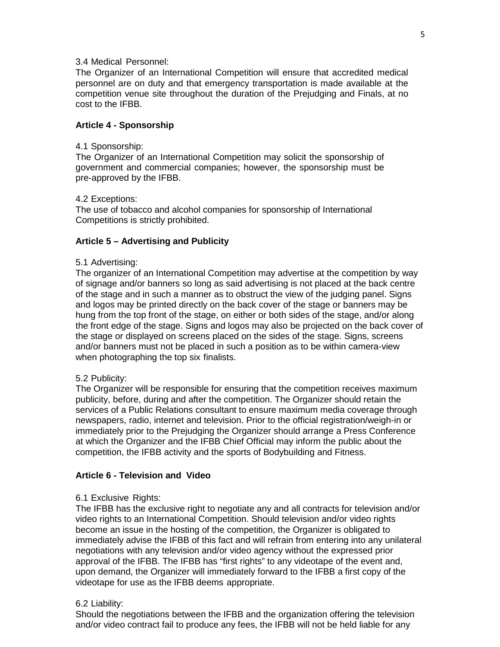### 3.4 Medical Personnel:

The Organizer of an International Competition will ensure that accredited medical personnel are on duty and that emergency transportation is made available at the competition venue site throughout the duration of the Prejudging and Finals, at no cost to the IFBB.

#### **Article 4 - Sponsorship**

#### 4.1 Sponsorship:

The Organizer of an International Competition may solicit the sponsorship of government and commercial companies; however, the sponsorship must be pre-approved by the IFBB.

#### 4.2 Exceptions:

The use of tobacco and alcohol companies for sponsorship of International Competitions is strictly prohibited.

### **Article 5 – Advertising and Publicity**

#### 5.1 Advertising:

The organizer of an International Competition may advertise at the competition by way of signage and/or banners so long as said advertising is not placed at the back centre of the stage and in such a manner as to obstruct the view of the judging panel. Signs and logos may be printed directly on the back cover of the stage or banners may be hung from the top front of the stage, on either or both sides of the stage, and/or along the front edge of the stage. Signs and logos may also be projected on the back cover of the stage or displayed on screens placed on the sides of the stage. Signs, screens and/or banners must not be placed in such a position as to be within camera-view when photographing the top six finalists.

#### 5.2 Publicity:

The Organizer will be responsible for ensuring that the competition receives maximum publicity, before, during and after the competition. The Organizer should retain the services of a Public Relations consultant to ensure maximum media coverage through newspapers, radio, internet and television. Prior to the official registration/weigh-in or immediately prior to the Prejudging the Organizer should arrange a Press Conference at which the Organizer and the IFBB Chief Official may inform the public about the competition, the IFBB activity and the sports of Bodybuilding and Fitness.

#### **Article 6 - Television and Video**

#### 6.1 Exclusive Rights:

The IFBB has the exclusive right to negotiate any and all contracts for television and/or video rights to an International Competition. Should television and/or video rights become an issue in the hosting of the competition, the Organizer is obligated to immediately advise the IFBB of this fact and will refrain from entering into any unilateral negotiations with any television and/or video agency without the expressed prior approval of the IFBB. The IFBB has "first rights" to any videotape of the event and, upon demand, the Organizer will immediately forward to the IFBB a first copy of the videotape for use as the IFBB deems appropriate.

#### 6.2 Liability:

Should the negotiations between the IFBB and the organization offering the television and/or video contract fail to produce any fees, the IFBB will not be held liable for any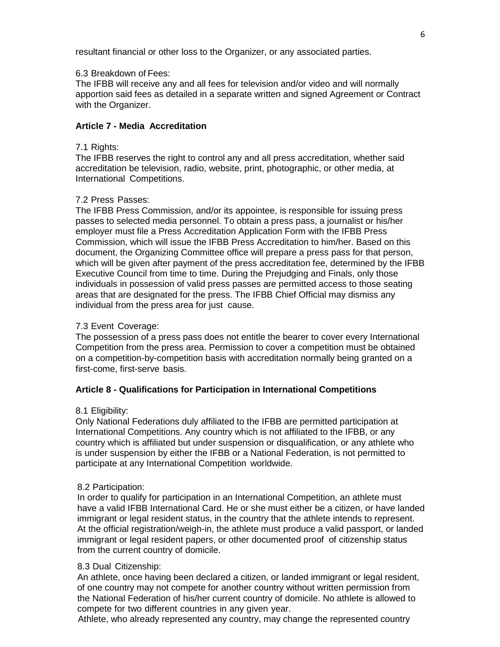resultant financial or other loss to the Organizer, or any associated parties.

# 6.3 Breakdown of Fees:

The IFBB will receive any and all fees for television and/or video and will normally apportion said fees as detailed in a separate written and signed Agreement or Contract with the Organizer.

# **Article 7 - Media Accreditation**

### 7.1 Rights:

The IFBB reserves the right to control any and all press accreditation, whether said accreditation be television, radio, website, print, photographic, or other media, at International Competitions.

### 7.2 Press Passes:

The IFBB Press Commission, and/or its appointee, is responsible for issuing press passes to selected media personnel. To obtain a press pass, a journalist or his/her employer must file a Press Accreditation Application Form with the IFBB Press Commission, which will issue the IFBB Press Accreditation to him/her. Based on this document, the Organizing Committee office will prepare a press pass for that person, which will be given after payment of the press accreditation fee, determined by the IFBB Executive Council from time to time. During the Prejudging and Finals, only those individuals in possession of valid press passes are permitted access to those seating areas that are designated for the press. The IFBB Chief Official may dismiss any individual from the press area for just cause.

### 7.3 Event Coverage:

The possession of a press pass does not entitle the bearer to cover every International Competition from the press area. Permission to cover a competition must be obtained on a competition-by-competition basis with accreditation normally being granted on a first-come, first-serve basis.

# **Article 8 - Qualifications for Participation in International Competitions**

#### 8.1 Eligibility:

Only National Federations duly affiliated to the IFBB are permitted participation at International Competitions. Any country which is not affiliated to the IFBB, or any country which is affiliated but under suspension or disqualification, or any athlete who is under suspension by either the IFBB or a National Federation, is not permitted to participate at any International Competition worldwide.

#### 8.2 Participation:

In order to qualify for participation in an International Competition, an athlete must have a valid IFBB International Card. He or she must either be a citizen, or have landed immigrant or legal resident status, in the country that the athlete intends to represent. At the official registration/weigh-in, the athlete must produce a valid passport, or landed immigrant or legal resident papers, or other documented proof of citizenship status from the current country of domicile.

#### 8.3 Dual Citizenship:

An athlete, once having been declared a citizen, or landed immigrant or legal resident, of one country may not compete for another country without written permission from the National Federation of his/her current country of domicile. No athlete is allowed to compete for two different countries in any given year.

Athlete, who already represented any country, may change the represented country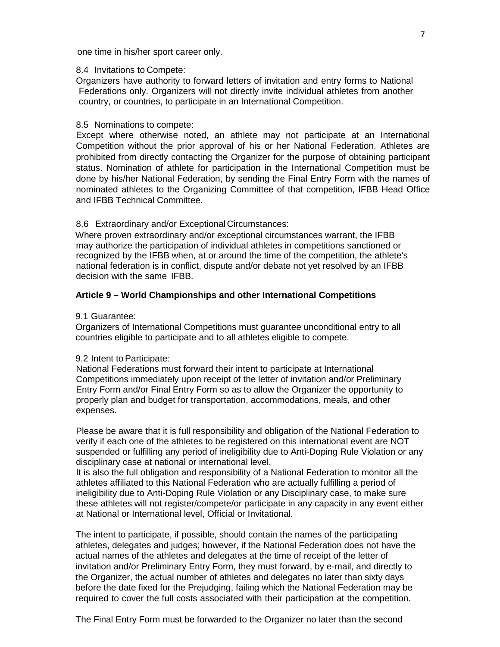one time in his/her sport career only.

#### 8.4 Invitations to Compete:

Organizers have authority to forward letters of invitation and entry forms to National Federations only. Organizers will not directly invite individual athletes from another country, or countries, to participate in an International Competition.

### 8.5 Nominations to compete:

Except where otherwise noted, an athlete may not participate at an International Competition without the prior approval of his or her National Federation. Athletes are prohibited from directly contacting the Organizer for the purpose of obtaining participant status. Nomination of athlete for participation in the International Competition must be done by his/her National Federation, by sending the Final Entry Form with the names of nominated athletes to the Organizing Committee of that competition, IFBB Head Office and IFBB Technical Committee.

# 8.6 Extraordinary and/or Exceptional Circumstances:

Where proven extraordinary and/or exceptional circumstances warrant, the IFBB may authorize the participation of individual athletes in competitions sanctioned or recognized by the IFBB when, at or around the time of the competition, the athlete's national federation is in conflict, dispute and/or debate not yet resolved by an IFBB decision with the same IFBB.

### **Article 9 – World Championships and other International Competitions**

#### 9.1 Guarantee:

Organizers of International Competitions must guarantee unconditional entry to all countries eligible to participate and to all athletes eligible to compete.

#### 9.2 Intent to Participate:

National Federations must forward their intent to participate at International Competitions immediately upon receipt of the letter of invitation and/or Preliminary Entry Form and/or Final Entry Form so as to allow the Organizer the opportunity to properly plan and budget for transportation, accommodations, meals, and other expenses.

Please be aware that it is full responsibility and obligation of the National Federation to verify if each one of the athletes to be registered on this international event are NOT suspended or fulfilling any period of ineligibility due to Anti-Doping Rule Violation or any disciplinary case at national or international level.

It is also the full obligation and responsibility of a National Federation to monitor all the athletes affiliated to this National Federation who are actually fulfilling a period of ineligibility due to Anti-Doping Rule Violation or any Disciplinary case, to make sure these athletes will not register/compete/or participate in any capacity in any event either at National or International level, Official or Invitational.

The intent to participate, if possible, should contain the names of the participating athletes, delegates and judges; however, if the National Federation does not have the actual names of the athletes and delegates at the time of receipt of the letter of invitation and/or Preliminary Entry Form, they must forward, by e-mail, and directly to the Organizer, the actual number of athletes and delegates no later than sixty days before the date fixed for the Prejudging, failing which the National Federation may be required to cover the full costs associated with their participation at the competition.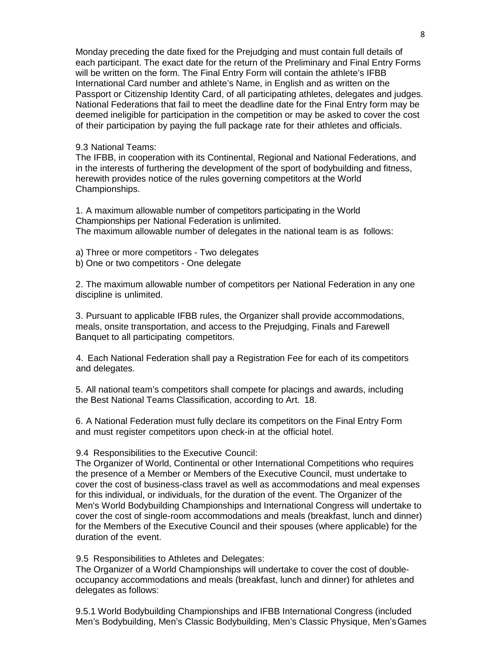Monday preceding the date fixed for the Prejudging and must contain full details of each participant. The exact date for the return of the Preliminary and Final Entry Forms will be written on the form. The Final Entry Form will contain the athlete's IFBB International Card number and athlete's Name, in English and as written on the Passport or Citizenship Identity Card, of all participating athletes, delegates and judges. National Federations that fail to meet the deadline date for the Final Entry form may be deemed ineligible for participation in the competition or may be asked to cover the cost of their participation by paying the full package rate for their athletes and officials.

#### 9.3 National Teams:

The IFBB, in cooperation with its Continental, Regional and National Federations, and in the interests of furthering the development of the sport of bodybuilding and fitness, herewith provides notice of the rules governing competitors at the World Championships.

1. A maximum allowable number of competitors participating in the World Championships per National Federation is unlimited. The maximum allowable number of delegates in the national team is as follows:

- a) Three or more competitors Two delegates
- b) One or two competitors One delegate

2. The maximum allowable number of competitors per National Federation in any one discipline is unlimited.

3. Pursuant to applicable IFBB rules, the Organizer shall provide accommodations, meals, onsite transportation, and access to the Prejudging, Finals and Farewell Banquet to all participating competitors.

4. Each National Federation shall pay a Registration Fee for each of its competitors and delegates.

5. All national team's competitors shall compete for placings and awards, including the Best National Teams Classification, according to Art. 18.

6. A National Federation must fully declare its competitors on the Final Entry Form and must register competitors upon check-in at the official hotel.

9.4 Responsibilities to the Executive Council:

The Organizer of World, Continental or other International Competitions who requires the presence of a Member or Members of the Executive Council, must undertake to cover the cost of business-class travel as well as accommodations and meal expenses for this individual, or individuals, for the duration of the event. The Organizer of the Men's World Bodybuilding Championships and International Congress will undertake to cover the cost of single-room accommodations and meals (breakfast, lunch and dinner) for the Members of the Executive Council and their spouses (where applicable) for the duration of the event.

9.5 Responsibilities to Athletes and Delegates:

The Organizer of a World Championships will undertake to cover the cost of doubleoccupancy accommodations and meals (breakfast, lunch and dinner) for athletes and delegates as follows:

9.5.1 World Bodybuilding Championships and IFBB International Congress (included Men's Bodybuilding, Men's Classic Bodybuilding, Men's Classic Physique, Men'sGames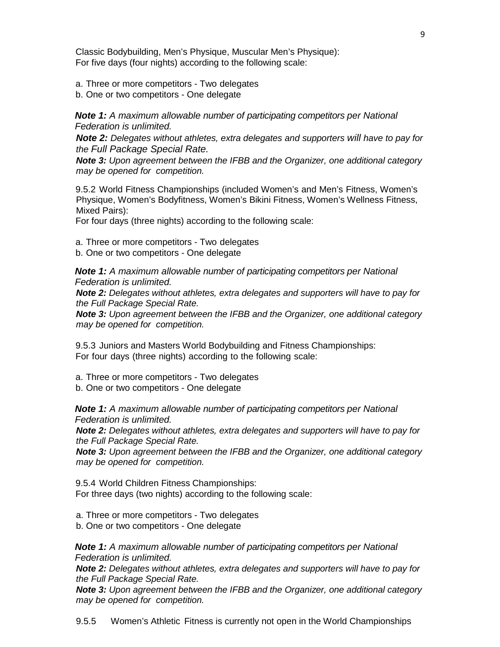Classic Bodybuilding, Men's Physique, Muscular Men's Physique): For five days (four nights) according to the following scale:

a. Three or more competitors - Two delegates

b. One or two competitors - One delegate

*Note 1: A maximum allowable number of participating competitors per National Federation is unlimited.*

*Note 2: Delegates without athletes, extra delegates and supporters will have to pay for the Full Package Special Rate.*

*Note 3: Upon agreement between the IFBB and the Organizer, one additional category may be opened for competition.*

9.5.2 World Fitness Championships (included Women's and Men's Fitness, Women's Physique, Women's Bodyfitness, Women's Bikini Fitness, Women's Wellness Fitness, Mixed Pairs):

For four days (three nights) according to the following scale:

a. Three or more competitors - Two delegates

b. One or two competitors - One delegate

*Note 1: A maximum allowable number of participating competitors per National Federation is unlimited.*

*Note 2: Delegates without athletes, extra delegates and supporters will have to pay for the Full Package Special Rate.*

*Note 3: Upon agreement between the IFBB and the Organizer, one additional category may be opened for competition.*

9.5.3 Juniors and Masters World Bodybuilding and Fitness Championships: For four days (three nights) according to the following scale:

a. Three or more competitors - Two delegates

b. One or two competitors - One delegate

*Note 1: A maximum allowable number of participating competitors per National Federation is unlimited.*

*Note 2: Delegates without athletes, extra delegates and supporters will have to pay for the Full Package Special Rate.*

*Note 3: Upon agreement between the IFBB and the Organizer, one additional category may be opened for competition.*

9.5.4 World Children Fitness Championships: For three days (two nights) according to the following scale:

a. Three or more competitors - Two delegates

b. One or two competitors - One delegate

*Note 1: A maximum allowable number of participating competitors per National Federation is unlimited.*

*Note 2: Delegates without athletes, extra delegates and supporters will have to pay for the Full Package Special Rate.*

*Note 3: Upon agreement between the IFBB and the Organizer, one additional category may be opened for competition.*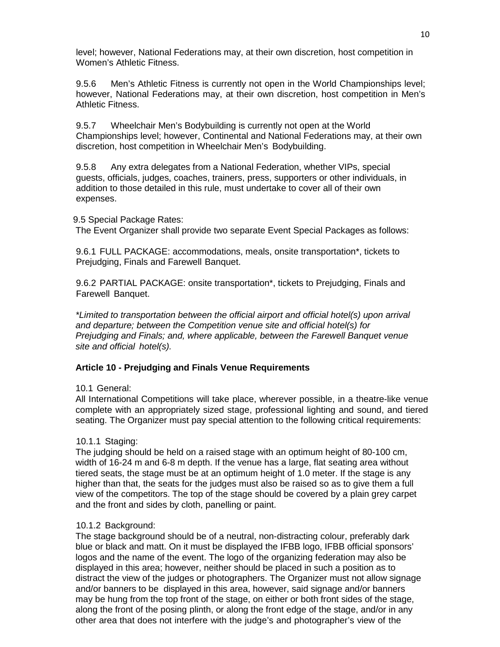level; however, National Federations may, at their own discretion, host competition in Women's Athletic Fitness.

9.5.6 Men's Athletic Fitness is currently not open in the World Championships level; however, National Federations may, at their own discretion, host competition in Men's Athletic Fitness.

9.5.7 Wheelchair Men's Bodybuilding is currently not open at the World Championships level; however, Continental and National Federations may, at their own discretion, host competition in Wheelchair Men's Bodybuilding.

9.5.8 Any extra delegates from a National Federation, whether VIPs, special guests, officials, judges, coaches, trainers, press, supporters or other individuals, in addition to those detailed in this rule, must undertake to cover all of their own expenses.

9.5 Special Package Rates:

The Event Organizer shall provide two separate Event Special Packages as follows:

9.6.1 FULL PACKAGE: accommodations, meals, onsite transportation\*, tickets to Prejudging, Finals and Farewell Banquet.

9.6.2 PARTIAL PACKAGE: onsite transportation\*, tickets to Prejudging, Finals and Farewell Banquet.

*\*Limited to transportation between the official airport and official hotel(s) upon arrival and departure; between the Competition venue site and official hotel(s) for Prejudging and Finals; and, where applicable, between the Farewell Banquet venue site and official hotel(s).*

# **Article 10 - Prejudging and Finals Venue Requirements**

# 10.1 General:

All International Competitions will take place, wherever possible, in a theatre-like venue complete with an appropriately sized stage, professional lighting and sound, and tiered seating. The Organizer must pay special attention to the following critical requirements:

# 10.1.1 Staging:

The judging should be held on a raised stage with an optimum height of 80-100 cm, width of 16-24 m and 6-8 m depth. If the venue has a large, flat seating area without tiered seats, the stage must be at an optimum height of 1.0 meter. If the stage is any higher than that, the seats for the judges must also be raised so as to give them a full view of the competitors. The top of the stage should be covered by a plain grey carpet and the front and sides by cloth, panelling or paint.

# 10.1.2 Background:

The stage background should be of a neutral, non-distracting colour, preferably dark blue or black and matt. On it must be displayed the IFBB logo, IFBB official sponsors' logos and the name of the event. The logo of the organizing federation may also be displayed in this area; however, neither should be placed in such a position as to distract the view of the judges or photographers. The Organizer must not allow signage and/or banners to be displayed in this area, however, said signage and/or banners may be hung from the top front of the stage, on either or both front sides of the stage, along the front of the posing plinth, or along the front edge of the stage, and/or in any other area that does not interfere with the judge's and photographer's view of the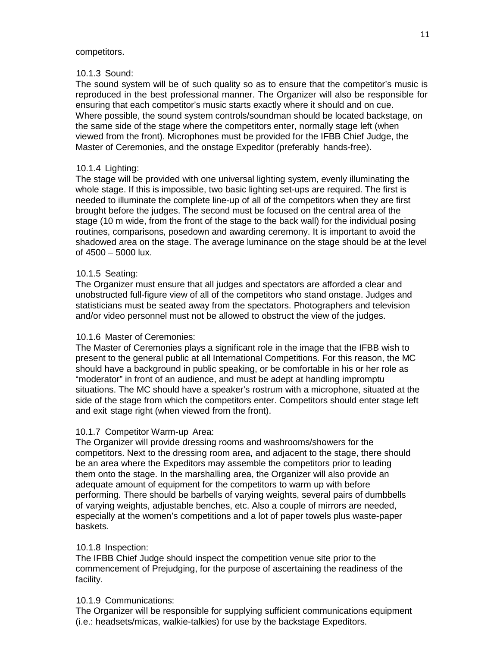#### competitors.

### 10.1.3 Sound:

The sound system will be of such quality so as to ensure that the competitor's music is reproduced in the best professional manner. The Organizer will also be responsible for ensuring that each competitor's music starts exactly where it should and on cue. Where possible, the sound system controls/soundman should be located backstage, on the same side of the stage where the competitors enter, normally stage left (when viewed from the front). Microphones must be provided for the IFBB Chief Judge, the Master of Ceremonies, and the onstage Expeditor (preferably hands-free).

# 10.1.4 Lighting:

The stage will be provided with one universal lighting system, evenly illuminating the whole stage. If this is impossible, two basic lighting set-ups are required. The first is needed to illuminate the complete line-up of all of the competitors when they are first brought before the judges. The second must be focused on the central area of the stage (10 m wide, from the front of the stage to the back wall) for the individual posing routines, comparisons, posedown and awarding ceremony. It is important to avoid the shadowed area on the stage. The average luminance on the stage should be at the level of 4500 – 5000 lux.

# 10.1.5 Seating:

The Organizer must ensure that all judges and spectators are afforded a clear and unobstructed full-figure view of all of the competitors who stand onstage. Judges and statisticians must be seated away from the spectators. Photographers and television and/or video personnel must not be allowed to obstruct the view of the judges.

# 10.1.6 Master of Ceremonies:

The Master of Ceremonies plays a significant role in the image that the IFBB wish to present to the general public at all International Competitions. For this reason, the MC should have a background in public speaking, or be comfortable in his or her role as "moderator" in front of an audience, and must be adept at handling impromptu situations. The MC should have a speaker's rostrum with a microphone, situated at the side of the stage from which the competitors enter. Competitors should enter stage left and exit stage right (when viewed from the front).

# 10.1.7 Competitor Warm-up Area:

The Organizer will provide dressing rooms and washrooms/showers for the competitors. Next to the dressing room area, and adjacent to the stage, there should be an area where the Expeditors may assemble the competitors prior to leading them onto the stage. In the marshalling area, the Organizer will also provide an adequate amount of equipment for the competitors to warm up with before performing. There should be barbells of varying weights, several pairs of dumbbells of varying weights, adjustable benches, etc. Also a couple of mirrors are needed, especially at the women's competitions and a lot of paper towels plus waste-paper baskets.

# 10.1.8 Inspection:

The IFBB Chief Judge should inspect the competition venue site prior to the commencement of Prejudging, for the purpose of ascertaining the readiness of the facility.

# 10.1.9 Communications:

The Organizer will be responsible for supplying sufficient communications equipment (i.e.: headsets/micas, walkie-talkies) for use by the backstage Expeditors.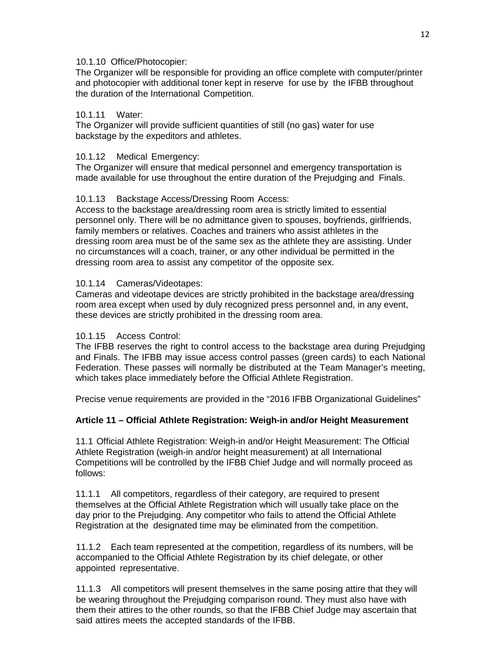# 10.1.10 Office/Photocopier:

The Organizer will be responsible for providing an office complete with computer/printer and photocopier with additional toner kept in reserve for use by the IFBB throughout the duration of the International Competition.

# 10.1.11 Water:

The Organizer will provide sufficient quantities of still (no gas) water for use backstage by the expeditors and athletes.

# 10.1.12 Medical Emergency:

The Organizer will ensure that medical personnel and emergency transportation is made available for use throughout the entire duration of the Prejudging and Finals.

# 10.1.13 Backstage Access/Dressing Room Access:

Access to the backstage area/dressing room area is strictly limited to essential personnel only. There will be no admittance given to spouses, boyfriends, girlfriends, family members or relatives. Coaches and trainers who assist athletes in the dressing room area must be of the same sex as the athlete they are assisting. Under no circumstances will a coach, trainer, or any other individual be permitted in the dressing room area to assist any competitor of the opposite sex.

# 10.1.14 Cameras/Videotapes:

Cameras and videotape devices are strictly prohibited in the backstage area/dressing room area except when used by duly recognized press personnel and, in any event, these devices are strictly prohibited in the dressing room area.

# 10.1.15 Access Control:

The IFBB reserves the right to control access to the backstage area during Prejudging and Finals. The IFBB may issue access control passes (green cards) to each National Federation. These passes will normally be distributed at the Team Manager's meeting, which takes place immediately before the Official Athlete Registration.

Precise venue requirements are provided in the "2016 IFBB Organizational Guidelines"

# **Article 11 – Official Athlete Registration: Weigh-in and/or Height Measurement**

11.1 Official Athlete Registration: Weigh-in and/or Height Measurement: The Official Athlete Registration (weigh-in and/or height measurement) at all International Competitions will be controlled by the IFBB Chief Judge and will normally proceed as follows:

11.1.1 All competitors, regardless of their category, are required to present themselves at the Official Athlete Registration which will usually take place on the day prior to the Prejudging. Any competitor who fails to attend the Official Athlete Registration at the designated time may be eliminated from the competition.

11.1.2 Each team represented at the competition, regardless of its numbers, will be accompanied to the Official Athlete Registration by its chief delegate, or other appointed representative.

11.1.3 All competitors will present themselves in the same posing attire that they will be wearing throughout the Prejudging comparison round. They must also have with them their attires to the other rounds, so that the IFBB Chief Judge may ascertain that said attires meets the accepted standards of the IFBB.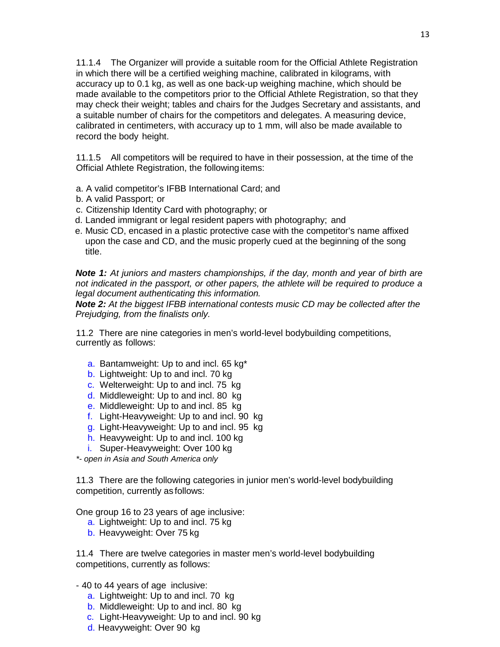11.1.4 The Organizer will provide a suitable room for the Official Athlete Registration in which there will be a certified weighing machine, calibrated in kilograms, with accuracy up to 0.1 kg, as well as one back-up weighing machine, which should be made available to the competitors prior to the Official Athlete Registration, so that they may check their weight; tables and chairs for the Judges Secretary and assistants, and a suitable number of chairs for the competitors and delegates. A measuring device, calibrated in centimeters, with accuracy up to 1 mm, will also be made available to record the body height.

11.1.5 All competitors will be required to have in their possession, at the time of the Official Athlete Registration, the following items:

- a. A valid competitor's IFBB International Card; and
- b. A valid Passport; or
- c. Citizenship Identity Card with photography; or
- d. Landed immigrant or legal resident papers with photography; and
- e. Music CD, encased in a plastic protective case with the competitor's name affixed upon the case and CD, and the music properly cued at the beginning of the song title.

*Note 1: At juniors and masters championships, if the day, month and year of birth are not indicated in the passport, or other papers, the athlete will be required to produce a legal document authenticating this information.*

*Note 2: At the biggest IFBB international contests music CD may be collected after the Prejudging, from the finalists only.*

11.2 There are nine categories in men's world-level bodybuilding competitions, currently as follows:

- a. Bantamweight: Up to and incl. 65 kg<sup>\*</sup>
- b. Lightweight: Up to and incl. 70 kg
- c. Welterweight: Up to and incl. 75 kg
- d. Middleweight: Up to and incl. 80 kg
- e. Middleweight: Up to and incl. 85 kg
- f. Light-Heavyweight: Up to and incl. 90 kg
- g. Light-Heavyweight: Up to and incl. 95 kg
- h. Heavyweight: Up to and incl. 100 kg
- i. Super-Heavyweight: Over 100 kg

*\*- open in Asia and South America only*

11.3 There are the following categories in junior men's world-level bodybuilding competition, currently as follows:

One group 16 to 23 years of age inclusive:

- a. Lightweight: Up to and incl. 75 kg
- b. Heavyweight: Over 75 kg

11.4 There are twelve categories in master men's world-level bodybuilding competitions, currently as follows:

- 40 to 44 years of age inclusive:

- a. Lightweight: Up to and incl. 70 kg
- b. Middleweight: Up to and incl. 80 kg
- c. Light-Heavyweight: Up to and incl. 90 kg
- d. Heavyweight: Over 90 kg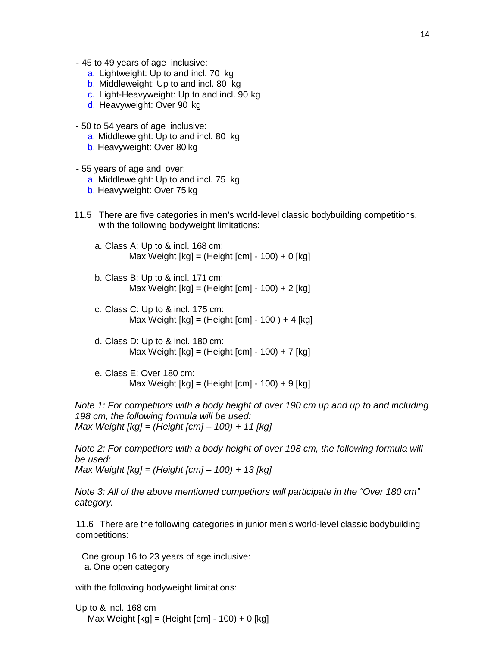- 45 to 49 years of age inclusive:
	- a. Lightweight: Up to and incl. 70 kg
	- b. Middleweight: Up to and incl. 80 kg
	- c. Light-Heavyweight: Up to and incl. 90 kg
	- d. Heavyweight: Over 90 kg

- 50 to 54 years of age inclusive:

- a. Middleweight: Up to and incl. 80 kg
- b. Heavyweight: Over 80 kg
- 55 years of age and over:
	- a. Middleweight: Up to and incl. 75 kg
	- b. Heavyweight: Over 75 kg
- 11.5 There are five categories in men's world-level classic bodybuilding competitions, with the following bodyweight limitations:
	- a. Class A: Up to & incl. 168 cm: Max Weight [kg] = (Height [cm] - 100) + 0 [kg]
	- b. Class B: Up to & incl. 171 cm: Max Weight  $[kq] = (Height [cm] - 100) + 2 [kg]$
	- c. Class C: Up to & incl. 175 cm: Max Weight  $[kg] = (Height [cm] - 100) + 4 [kg]$
	- d. Class D: Up to & incl. 180 cm: Max Weight  $[kg] = (Height [cm] - 100) + 7 [kg]$
	- e. Class E: Over 180 cm: Max Weight [kg] = (Height [cm] - 100) + 9 [kg]

*Note 1: For competitors with a body height of over 190 cm up and up to and including 198 cm, the following formula will be used: Max Weight [kg] = (Height [cm] – 100) + 11 [kg]*

*Note 2: For competitors with a body height of over 198 cm, the following formula will be used: Max Weight [kg] = (Height [cm] – 100) + 13 [kg]*

*Note 3: All of the above mentioned competitors will participate in the "Over 180 cm" category.*

11.6 There are the following categories in junior men's world-level classic bodybuilding competitions:

One group 16 to 23 years of age inclusive: a. One open category

with the following bodyweight limitations:

Up to & incl. 168 cm Max Weight  $[kg] = (Height [cm] - 100) + 0 [kg]$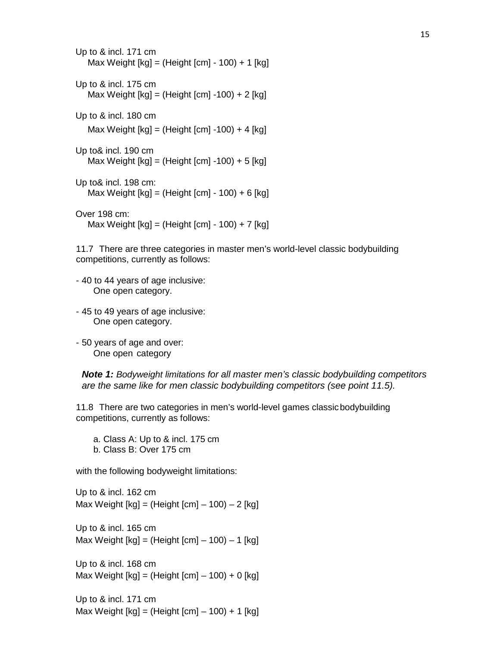Up to & incl. 171 cm Max Weight [kg] = (Height [cm] - 100) + 1 [kg] Up to & incl. 175 cm Max Weight [kg] = (Height [cm] -100) + 2 [kg] Up to & incl. 180 cm Max Weight [kg] = (Height [cm] -100) + 4 [kg] Up to& incl. 190 cm Max Weight [kg] = (Height [cm] -100) + 5 [kg] Up to& incl. 198 cm: Max Weight [kg] = (Height [cm] - 100) + 6 [kg] Over 198 cm: Max Weight [kg] = (Height [cm] - 100) + 7 [kg]

11.7 There are three categories in master men's world-level classic bodybuilding competitions, currently as follows:

- 40 to 44 years of age inclusive: One open category.
- 45 to 49 years of age inclusive: One open category.
- 50 years of age and over: One open category

*Note 1: Bodyweight limitations for all master men's classic bodybuilding competitors are the same like for men classic bodybuilding competitors (see point 11.5).*

11.8 There are two categories in men's world-level games classicbodybuilding competitions, currently as follows:

a. Class A: Up to & incl. 175 cm

b. Class B: Over 175 cm

with the following bodyweight limitations:

Up to & incl. 162 cm Max Weight  $[kg] = (Height [cm] - 100) - 2 [kg]$ 

Up to & incl. 165 cm Max Weight  $[kg] = (Height [cm] - 100) - 1 [kg]$ 

Up to & incl. 168 cm Max Weight  $[kg] = (Height [cm] - 100) + 0 [kg]$ 

Up to & incl. 171 cm Max Weight  $[kg] = (Height [cm] - 100) + 1 [kg]$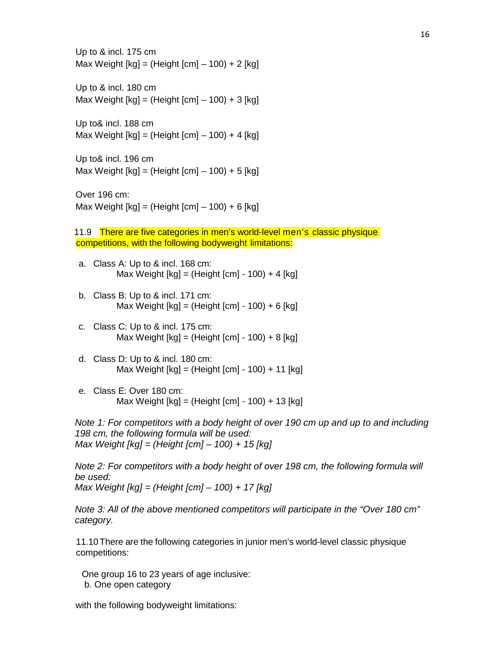Up to & incl. 175 cm Max Weight  $[kq] = (Height [cm] - 100) + 2 [kg]$ 

Up to & incl. 180 cm Max Weight  $[kg] = (Height [cm] - 100) + 3 [kg]$ 

Up to& incl. 188 cm Max Weight  $[kq] = (Height [cm] - 100) + 4 [kg]$ 

Up to& incl. 196 cm Max Weight  $[kg] = (Height [cm] - 100) + 5 [kg]$ 

Over 196 cm: Max Weight  $[kg] = (Height [cm] - 100) + 6 [kg]$ 

11.9 There are five categories in men's world-level men's classic physique competitions, with the following bodyweight limitations:

- a. Class A: Up to & incl. 168 cm: Max Weight  $[kg] = (Height [cm] - 100) + 4 [kg]$
- b. Class B: Up to & incl. 171 cm: Max Weight  $[kg] = (Height [cm] - 100) + 6 [kg]$
- c. Class C: Up to & incl. 175 cm: Max Weight  $[kq] = (Height [cm] - 100) + 8 [kg]$
- d. Class D: Up to & incl. 180 cm: Max Weight [kg] = (Height [cm] - 100) + 11 [kg]
- e. Class E: Over 180 cm: Max Weight  $[kg] = (Height [cm] - 100) + 13 [kg]$

*Note 1: For competitors with a body height of over 190 cm up and up to and including 198 cm, the following formula will be used: Max Weight [kg] = (Height [cm] – 100) + 15 [kg]*

*Note 2: For competitors with a body height of over 198 cm, the following formula will be used: Max Weight [kg] = (Height [cm] – 100) + 17 [kg]*

*Note 3: All of the above mentioned competitors will participate in the "Over 180 cm" category.*

11.10There are the following categories in junior men's world-level classic physique competitions:

One group 16 to 23 years of age inclusive:

b. One open category

with the following bodyweight limitations: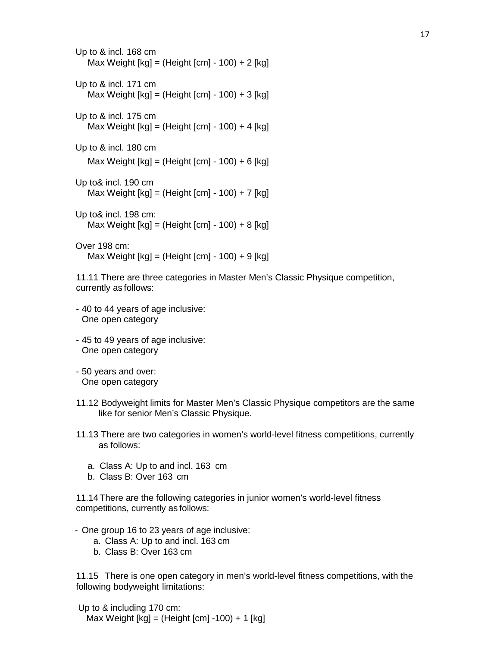```
Up to & incl. 168 cm
   Max Weight [kg] = (Height [cm] - 100) + 2 [kg]Up to & incl. 171 cm
   Max Weight [kg] = (Height [cm] - 100) + 3 [kg]Up to & incl. 175 cm
   Max Weight [kg] = (Height [cm] - 100) + 4 [kg]
Up to & incl. 180 cm
   Max Weight [kg] = (Height [cm] - 100) + 6 [kg]Up to& incl. 190 cm
   Max Weight [kg] = (Height [cm] - 100) + 7 [kg]Up to& incl. 198 cm:
   Max Weight [kg] = (Height [cm] - 100) + 8 [kg]Over 198 cm:
   Max Weight [kg] = (Height [cm] - 100) + 9 [kg]
```
11.11 There are three categories in Master Men's Classic Physique competition, currently as follows:

- 40 to 44 years of age inclusive: One open category
- 45 to 49 years of age inclusive: One open category
- 50 years and over: One open category
- 11.12 Bodyweight limits for Master Men's Classic Physique competitors are the same like for senior Men's Classic Physique.
- 11.13 There are two categories in women's world-level fitness competitions, currently as follows:
	- a. Class A: Up to and incl. 163 cm
	- b. Class B: Over 163 cm

11.14There are the following categories in junior women's world-level fitness competitions, currently as follows:

- One group 16 to 23 years of age inclusive:
	- a. Class A: Up to and incl. 163 cm
	- b. Class B: Over 163 cm

11.15 There is one open category in men's world-level fitness competitions, with the following bodyweight limitations:

Up to & including 170 cm: Max Weight [kg] = (Height [cm] -100) + 1 [kg]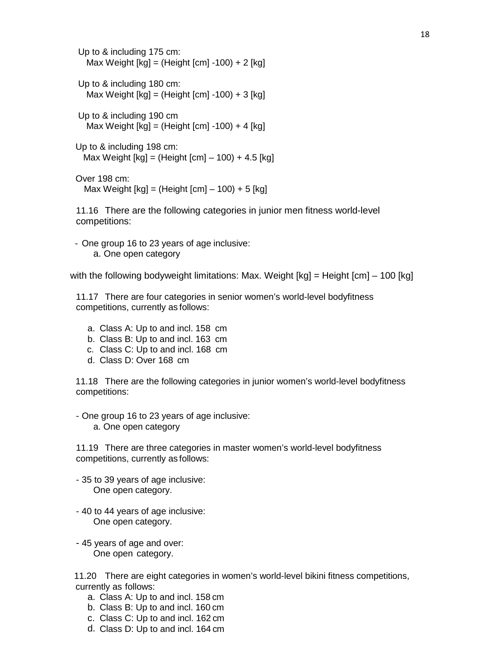Up to & including 175 cm: Max Weight  $[kg] = (Height [cm] -100) + 2 [kg]$ Up to & including 180 cm: Max Weight  $[kg] = (Height [cm] -100) + 3 [kg]$ Up to & including 190 cm Max Weight  $[kq] = (Height [cm] -100) + 4 [kg]$ Up to & including 198 cm: Max Weight  $[kq] = (Height [cm] - 100) + 4.5 [kg]$ 

Over 198 cm: Max Weight  $[kg] = (Height [cm] - 100) + 5 [kg]$ 

11.16 There are the following categories in junior men fitness world-level competitions:

- One group 16 to 23 years of age inclusive: a. One open category

with the following bodyweight limitations: Max. Weight [kg] = Height [cm] – 100 [kg]

11.17 There are four categories in senior women's world-level bodyfitness competitions, currently as follows:

- a. Class A: Up to and incl. 158 cm
- b. Class B: Up to and incl. 163 cm
- c. Class C: Up to and incl. 168 cm
- d. Class D: Over 168 cm

11.18 There are the following categories in junior women's world-level bodyfitness competitions:

- One group 16 to 23 years of age inclusive: a. One open category

11.19 There are three categories in master women's world-level bodyfitness competitions, currently as follows:

- 35 to 39 years of age inclusive: One open category.
- 40 to 44 years of age inclusive: One open category.
- 45 years of age and over: One open category.

11.20 There are eight categories in women's world-level bikini fitness competitions, currently as follows:

- a. Class A: Up to and incl. 158 cm
- b. Class B: Up to and incl. 160 cm
- c. Class C: Up to and incl. 162 cm
- d. Class D: Up to and incl. 164 cm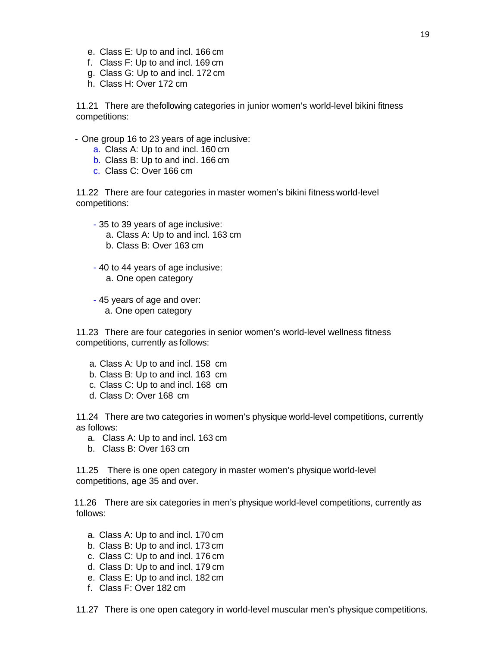- e. Class E: Up to and incl. 166 cm
- f. Class F: Up to and incl. 169 cm
- g. Class G: Up to and incl. 172 cm
- h. Class H: Over 172 cm

11.21 There are thefollowing categories in junior women's world-level bikini fitness competitions:

- One group 16 to 23 years of age inclusive:
	- a. Class A: Up to and incl. 160 cm
	- b. Class B: Up to and incl. 166 cm
	- c. Class C: Over 166 cm

11.22 There are four categories in master women's bikini fitness world-level competitions:

- 35 to 39 years of age inclusive: a. Class A: Up to and incl. 163 cm b. Class B: Over 163 cm
- 40 to 44 years of age inclusive: a. One open category
- 45 years of age and over: a. One open category

11.23 There are four categories in senior women's world-level wellness fitness competitions, currently as follows:

- a. Class A: Up to and incl. 158 cm
- b. Class B: Up to and incl. 163 cm
- c. Class C: Up to and incl. 168 cm
- d. Class D: Over 168 cm

11.24 There are two categories in women's physique world-level competitions, currently as follows:

- a. Class A: Up to and incl. 163 cm
- b. Class B: Over 163 cm

11.25 There is one open category in master women's physique world-level competitions, age 35 and over.

11.26 There are six categories in men's physique world-level competitions, currently as follows:

- a. Class A: Up to and incl. 170 cm
- b. Class B: Up to and incl. 173 cm
- c. Class C: Up to and incl. 176 cm
- d. Class D: Up to and incl. 179 cm
- e. Class E: Up to and incl. 182 cm
- f. Class F: Over 182 cm

11.27 There is one open category in world-level muscular men's physique competitions.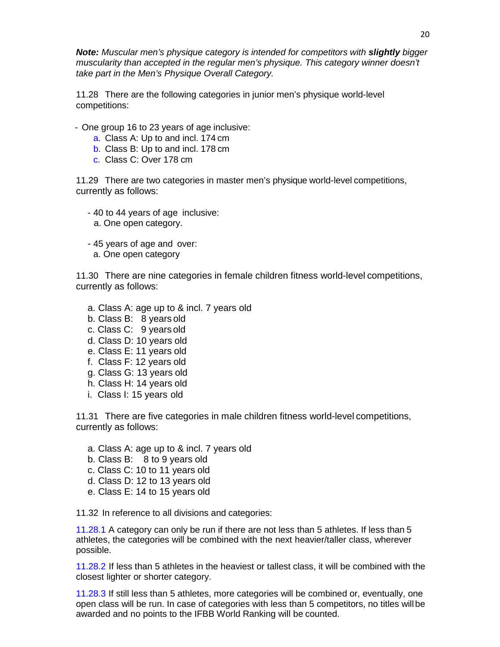**Note:** Muscular men's physique category is intended for competitors with **slightly** bigger *muscularity than accepted in the regular men's physique. This category winner doesn't take part in the Men's Physique Overall Category.*

11.28 There are the following categories in junior men's physique world-level competitions:

- One group 16 to 23 years of age inclusive:
	- a. Class A: Up to and incl. 174 cm
	- b. Class B: Up to and incl. 178 cm
	- c. Class C: Over 178 cm

11.29 There are two categories in master men's physique world-level competitions, currently as follows:

- 40 to 44 years of age inclusive:
	- a. One open category.
- 45 years of age and over:
	- a. One open category

11.30 There are nine categories in female children fitness world-level competitions, currently as follows:

- a. Class A: age up to & incl. 7 years old
- b. Class B: 8 years old
- c. Class C: 9 years old
- d. Class D: 10 years old
- e. Class E: 11 years old
- f. Class F: 12 years old
- g. Class G: 13 years old
- h. Class H: 14 years old
- i. Class I: 15 years old

11.31 There are five categories in male children fitness world-level competitions, currently as follows:

- a. Class A: age up to & incl. 7 years old
- b. Class B: 8 to 9 years old
- c. Class C: 10 to 11 years old
- d. Class D: 12 to 13 years old
- e. Class E: 14 to 15 years old

11.32 In reference to all divisions and categories:

11.28.1 A category can only be run if there are not less than 5 athletes. If less than 5 athletes, the categories will be combined with the next heavier/taller class, wherever possible.

11.28.2 If less than 5 athletes in the heaviest or tallest class, it will be combined with the closest lighter or shorter category.

11.28.3 If still less than 5 athletes, more categories will be combined or, eventually, one open class will be run. In case of categories with less than 5 competitors, no titles willbe awarded and no points to the IFBB World Ranking will be counted.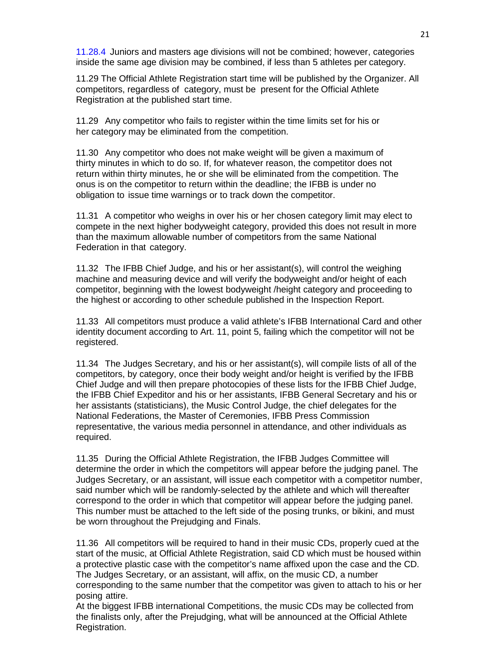11.28.4 Juniors and masters age divisions will not be combined; however, categories inside the same age division may be combined, if less than 5 athletes per category.

11.29 The Official Athlete Registration start time will be published by the Organizer. All competitors, regardless of category, must be present for the Official Athlete Registration at the published start time.

11.29 Any competitor who fails to register within the time limits set for his or her category may be eliminated from the competition.

11.30 Any competitor who does not make weight will be given a maximum of thirty minutes in which to do so. If, for whatever reason, the competitor does not return within thirty minutes, he or she will be eliminated from the competition. The onus is on the competitor to return within the deadline; the IFBB is under no obligation to issue time warnings or to track down the competitor.

11.31 A competitor who weighs in over his or her chosen category limit may elect to compete in the next higher bodyweight category, provided this does not result in more than the maximum allowable number of competitors from the same National Federation in that category.

11.32 The IFBB Chief Judge, and his or her assistant(s), will control the weighing machine and measuring device and will verify the bodyweight and/or height of each competitor, beginning with the lowest bodyweight /height category and proceeding to the highest or according to other schedule published in the Inspection Report.

11.33 All competitors must produce a valid athlete's IFBB International Card and other identity document according to Art. 11, point 5, failing which the competitor will not be registered.

11.34 The Judges Secretary, and his or her assistant(s), will compile lists of all of the competitors, by category, once their body weight and/or height is verified by the IFBB Chief Judge and will then prepare photocopies of these lists for the IFBB Chief Judge, the IFBB Chief Expeditor and his or her assistants, IFBB General Secretary and his or her assistants (statisticians), the Music Control Judge, the chief delegates for the National Federations, the Master of Ceremonies, IFBB Press Commission representative, the various media personnel in attendance, and other individuals as required.

11.35 During the Official Athlete Registration, the IFBB Judges Committee will determine the order in which the competitors will appear before the judging panel. The Judges Secretary, or an assistant, will issue each competitor with a competitor number, said number which will be randomly-selected by the athlete and which will thereafter correspond to the order in which that competitor will appear before the judging panel. This number must be attached to the left side of the posing trunks, or bikini, and must be worn throughout the Prejudging and Finals.

11.36 All competitors will be required to hand in their music CDs, properly cued at the start of the music, at Official Athlete Registration, said CD which must be housed within a protective plastic case with the competitor's name affixed upon the case and the CD. The Judges Secretary, or an assistant, will affix, on the music CD, a number corresponding to the same number that the competitor was given to attach to his or her posing attire.

At the biggest IFBB international Competitions, the music CDs may be collected from the finalists only, after the Prejudging, what will be announced at the Official Athlete Registration.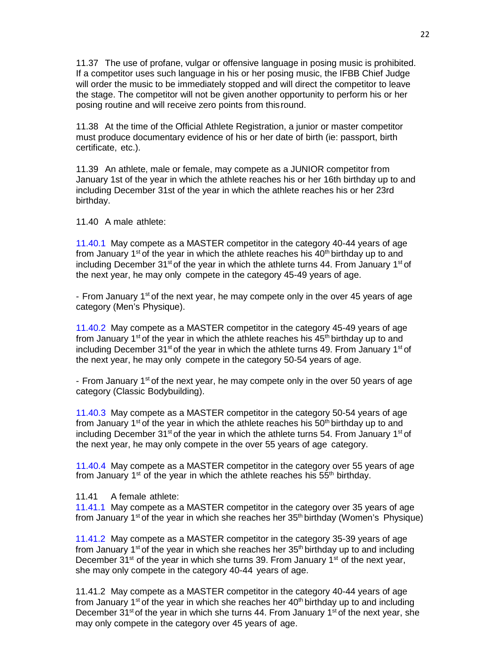11.37 The use of profane, vulgar or offensive language in posing music is prohibited. If a competitor uses such language in his or her posing music, the IFBB Chief Judge will order the music to be immediately stopped and will direct the competitor to leave the stage. The competitor will not be given another opportunity to perform his or her posing routine and will receive zero points from thisround.

11.38 At the time of the Official Athlete Registration, a junior or master competitor must produce documentary evidence of his or her date of birth (ie: passport, birth certificate, etc.).

11.39 An athlete, male or female, may compete as a JUNIOR competitor from January 1st of the year in which the athlete reaches his or her 16th birthday up to and including December 31st of the year in which the athlete reaches his or her 23rd birthday.

11.40 A male athlete:

11.40.1 May compete as a MASTER competitor in the category 40-44 years of age from January 1<sup>st</sup> of the year in which the athlete reaches his  $40<sup>th</sup>$  birthday up to and including December 31<sup>st</sup> of the year in which the athlete turns 44. From January 1<sup>st</sup> of the next year, he may only compete in the category 45-49 years of age.

- From January 1<sup>st</sup> of the next year, he may compete only in the over 45 years of age category (Men's Physique).

11.40.2 May compete as a MASTER competitor in the category 45-49 years of age from January 1<sup>st</sup> of the year in which the athlete reaches his  $45<sup>th</sup>$  birthday up to and including December 31<sup>st</sup> of the year in which the athlete turns 49. From January 1<sup>st</sup> of the next year, he may only compete in the category 50-54 years of age.

- From January  $1<sup>st</sup>$  of the next year, he may compete only in the over 50 years of age category (Classic Bodybuilding).

11.40.3 May compete as a MASTER competitor in the category 50-54 years of age from January 1<sup>st</sup> of the year in which the athlete reaches his  $50<sup>th</sup>$  birthday up to and including December 31<sup>st</sup> of the year in which the athlete turns 54. From January 1<sup>st</sup> of the next year, he may only compete in the over 55 years of age category.

11.40.4 May compete as a MASTER competitor in the category over 55 years of age from January  $1<sup>st</sup>$  of the year in which the athlete reaches his 55<sup>th</sup> birthday.

11.41 A female athlete:

11.41.1 May compete as a MASTER competitor in the category over 35 years of age from January 1<sup>st</sup> of the year in which she reaches her  $35<sup>th</sup>$  birthday (Women's Physique)

11.41.2 May compete as a MASTER competitor in the category 35-39 years of age from January 1<sup>st</sup> of the year in which she reaches her  $35<sup>th</sup>$  birthday up to and including December 31<sup>st</sup> of the year in which she turns 39. From January 1<sup>st</sup> of the next year, she may only compete in the category 40-44 years of age.

11.41.2 May compete as a MASTER competitor in the category 40-44 years of age from January 1<sup>st</sup> of the year in which she reaches her  $40<sup>th</sup>$  birthday up to and including December 31<sup>st</sup> of the year in which she turns 44. From January 1<sup>st</sup> of the next year, she may only compete in the category over 45 years of age.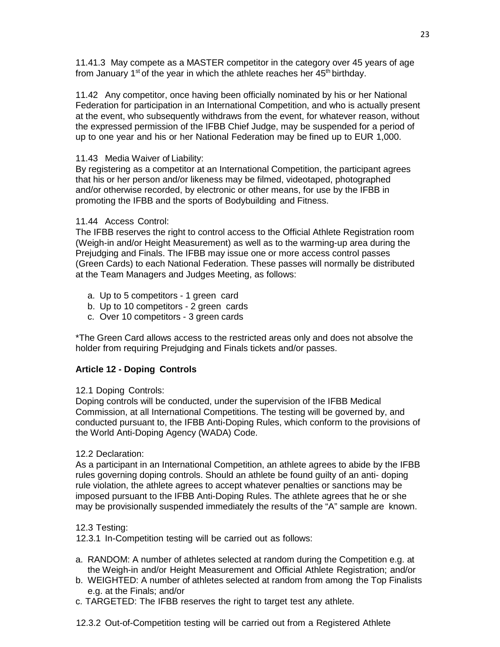11.41.3 May compete as a MASTER competitor in the category over 45 years of age from January 1<sup>st</sup> of the year in which the athlete reaches her  $45<sup>th</sup>$  birthday.

11.42 Any competitor, once having been officially nominated by his or her National Federation for participation in an International Competition, and who is actually present at the event, who subsequently withdraws from the event, for whatever reason, without the expressed permission of the IFBB Chief Judge, may be suspended for a period of up to one year and his or her National Federation may be fined up to EUR 1,000.

# 11.43 Media Waiver of Liability:

By registering as a competitor at an International Competition, the participant agrees that his or her person and/or likeness may be filmed, videotaped, photographed and/or otherwise recorded, by electronic or other means, for use by the IFBB in promoting the IFBB and the sports of Bodybuilding and Fitness.

# 11.44 Access Control:

The IFBB reserves the right to control access to the Official Athlete Registration room (Weigh-in and/or Height Measurement) as well as to the warming-up area during the Prejudging and Finals. The IFBB may issue one or more access control passes (Green Cards) to each National Federation. These passes will normally be distributed at the Team Managers and Judges Meeting, as follows:

- a. Up to 5 competitors 1 green card
- b. Up to 10 competitors 2 green cards
- c. Over 10 competitors 3 green cards

\*The Green Card allows access to the restricted areas only and does not absolve the holder from requiring Prejudging and Finals tickets and/or passes.

# **Article 12 - Doping Controls**

# 12.1 Doping Controls:

Doping controls will be conducted, under the supervision of the IFBB Medical Commission, at all International Competitions. The testing will be governed by, and conducted pursuant to, the IFBB Anti-Doping Rules, which conform to the provisions of the World Anti-Doping Agency (WADA) Code.

# 12.2 Declaration:

As a participant in an International Competition, an athlete agrees to abide by the IFBB rules governing doping controls. Should an athlete be found guilty of an anti- doping rule violation, the athlete agrees to accept whatever penalties or sanctions may be imposed pursuant to the IFBB Anti-Doping Rules. The athlete agrees that he or she may be provisionally suspended immediately the results of the "A" sample are known.

# 12.3 Testing:

12.3.1 In-Competition testing will be carried out as follows:

- a. RANDOM: A number of athletes selected at random during the Competition e.g. at the Weigh-in and/or Height Measurement and Official Athlete Registration; and/or
- b. WEIGHTED: A number of athletes selected at random from among the Top Finalists e.g. at the Finals; and/or
- c. TARGETED: The IFBB reserves the right to target test any athlete.
- 12.3.2 Out-of-Competition testing will be carried out from a Registered Athlete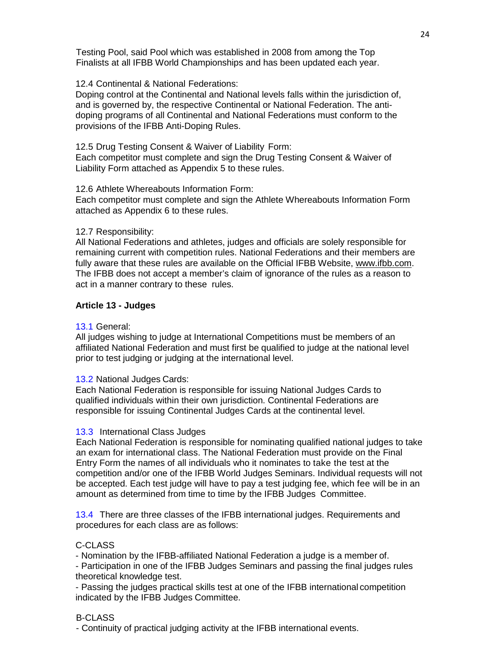Testing Pool, said Pool which was established in 2008 from among the Top Finalists at all IFBB World Championships and has been updated each year.

### 12.4 Continental & National Federations:

Doping control at the Continental and National levels falls within the jurisdiction of, and is governed by, the respective Continental or National Federation. The antidoping programs of all Continental and National Federations must conform to the provisions of the IFBB Anti-Doping Rules.

12.5 Drug Testing Consent & Waiver of Liability Form: Each competitor must complete and sign the Drug Testing Consent & Waiver of Liability Form attached as Appendix 5 to these rules.

#### 12.6 Athlete Whereabouts Information Form:

Each competitor must complete and sign the Athlete Whereabouts Information Form attached as Appendix 6 to these rules.

#### 12.7 Responsibility:

All National Federations and athletes, judges and officials are solely responsible for remaining current with competition rules. National Federations and their members are fully aware that these rules are available on the Official IFBB Website, [www.ifbb.com.](http://www.ifbb.com/) The IFBB does not accept a member's claim of ignorance of the rules as a reason to act in a manner contrary to these rules.

# **Article 13 - Judges**

#### 13.1 General:

All judges wishing to judge at International Competitions must be members of an affiliated National Federation and must first be qualified to judge at the national level prior to test judging or judging at the international level.

#### 13.2 National Judges Cards:

Each National Federation is responsible for issuing National Judges Cards to qualified individuals within their own jurisdiction. Continental Federations are responsible for issuing Continental Judges Cards at the continental level.

#### 13.3 International Class Judges

Each National Federation is responsible for nominating qualified national judges to take an exam for international class. The National Federation must provide on the Final Entry Form the names of all individuals who it nominates to take the test at the competition and/or one of the IFBB World Judges Seminars. Individual requests will not be accepted. Each test judge will have to pay a test judging fee, which fee will be in an amount as determined from time to time by the IFBB Judges Committee.

13.4 There are three classes of the IFBB international judges. Requirements and procedures for each class are as follows:

# C-CLASS

- Nomination by the IFBB-affiliated National Federation a judge is a member of.

- Participation in one of the IFBB Judges Seminars and passing the final judges rules theoretical knowledge test.

- Passing the judges practical skills test at one of the IFBB international competition indicated by the IFBB Judges Committee.

# B-CLASS

- Continuity of practical judging activity at the IFBB international events.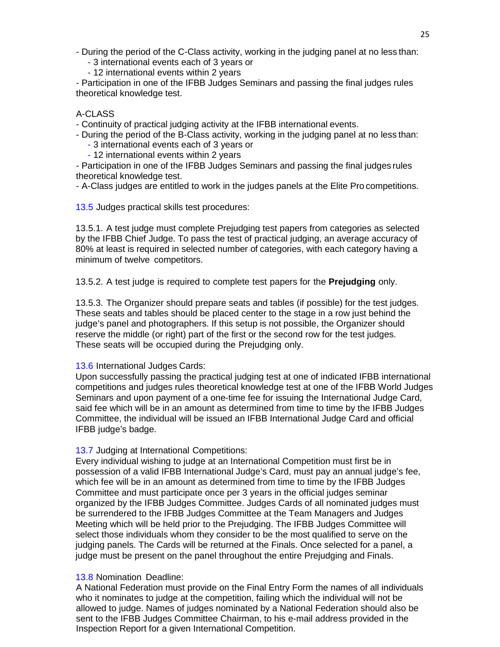- During the period of the C-Class activity, working in the judging panel at no less than:

- 3 international events each of 3 years or

- 12 international events within 2 years

- Participation in one of the IFBB Judges Seminars and passing the final judges rules theoretical knowledge test.

# A-CLASS

- Continuity of practical judging activity at the IFBB international events.

- During the period of the B-Class activity, working in the judging panel at no less than:

- 3 international events each of 3 years or
- 12 international events within 2 years

- Participation in one of the IFBB Judges Seminars and passing the final judges rules theoretical knowledge test.

- A-Class judges are entitled to work in the judges panels at the Elite Pro competitions.

13.5 Judges practical skills test procedures:

13.5.1. A test judge must complete Prejudging test papers from categories as selected by the IFBB Chief Judge. To pass the test of practical judging, an average accuracy of 80% at least is required in selected number of categories, with each category having a minimum of twelve competitors.

13.5.2. A test judge is required to complete test papers for the **Prejudging** only.

13.5.3. The Organizer should prepare seats and tables (if possible) for the test judges. These seats and tables should be placed center to the stage in a row just behind the judge's panel and photographers. If this setup is not possible, the Organizer should reserve the middle (or right) part of the first or the second row for the test judges. These seats will be occupied during the Prejudging only.

# 13.6 International Judges Cards:

Upon successfully passing the practical judging test at one of indicated IFBB international competitions and judges rules theoretical knowledge test at one of the IFBB World Judges Seminars and upon payment of a one-time fee for issuing the International Judge Card, said fee which will be in an amount as determined from time to time by the IFBB Judges Committee, the individual will be issued an IFBB International Judge Card and official IFBB judge's badge.

# 13.7 Judging at International Competitions:

Every individual wishing to judge at an International Competition must first be in possession of a valid IFBB International Judge's Card, must pay an annual judge's fee, which fee will be in an amount as determined from time to time by the IFBB Judges Committee and must participate once per 3 years in the official judges seminar organized by the IFBB Judges Committee. Judges Cards of all nominated judges must be surrendered to the IFBB Judges Committee at the Team Managers and Judges Meeting which will be held prior to the Prejudging. The IFBB Judges Committee will select those individuals whom they consider to be the most qualified to serve on the judging panels. The Cards will be returned at the Finals. Once selected for a panel, a judge must be present on the panel throughout the entire Prejudging and Finals.

# 13.8 Nomination Deadline:

A National Federation must provide on the Final Entry Form the names of all individuals who it nominates to judge at the competition, failing which the individual will not be allowed to judge. Names of judges nominated by a National Federation should also be sent to the IFBB Judges Committee Chairman, to his e-mail address provided in the Inspection Report for a given International Competition.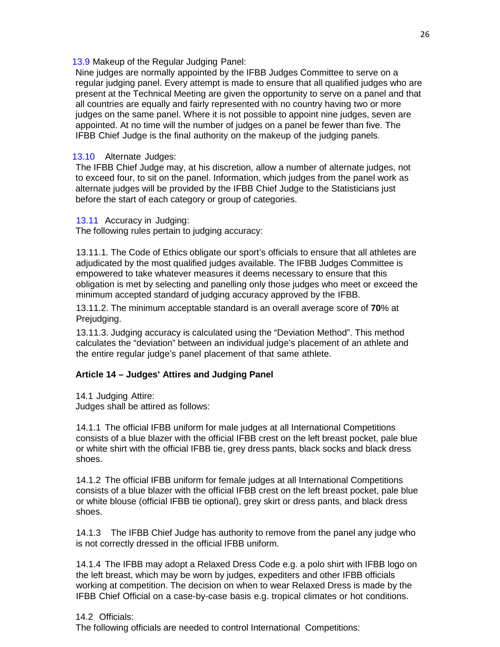13.9 Makeup of the Regular Judging Panel:

Nine judges are normally appointed by the IFBB Judges Committee to serve on a regular judging panel. Every attempt is made to ensure that all qualified judges who are present at the Technical Meeting are given the opportunity to serve on a panel and that all countries are equally and fairly represented with no country having two or more judges on the same panel. Where it is not possible to appoint nine judges, seven are appointed. At no time will the number of judges on a panel be fewer than five. The IFBB Chief Judge is the final authority on the makeup of the judging panels.

### 13.10 Alternate Judges:

The IFBB Chief Judge may, at his discretion, allow a number of alternate judges, not to exceed four, to sit on the panel. Information, which judges from the panel work as alternate judges will be provided by the IFBB Chief Judge to the Statisticians just before the start of each category or group of categories.

13.11 Accuracy in Judging:

The following rules pertain to judging accuracy:

13.11.1. The Code of Ethics obligate our sport's officials to ensure that all athletes are adjudicated by the most qualified judges available. The IFBB Judges Committee is empowered to take whatever measures it deems necessary to ensure that this obligation is met by selecting and panelling only those judges who meet or exceed the minimum accepted standard of judging accuracy approved by the IFBB.

13.11.2. The minimum acceptable standard is an overall average score of **70**% at Prejudging.

13.11.3. Judging accuracy is calculated using the "Deviation Method". This method calculates the "deviation" between an individual judge's placement of an athlete and the entire regular judge's panel placement of that same athlete.

#### **Article 14 – Judges' Attires and Judging Panel**

14.1 Judging Attire: Judges shall be attired as follows:

14.1.1 The official IFBB uniform for male judges at all International Competitions consists of a blue blazer with the official IFBB crest on the left breast pocket, pale blue or white shirt with the official IFBB tie, grey dress pants, black socks and black dress shoes.

14.1.2 The official IFBB uniform for female judges at all International Competitions consists of a blue blazer with the official IFBB crest on the left breast pocket, pale blue or white blouse (official IFBB tie optional), grey skirt or dress pants, and black dress shoes.

14.1.3 The IFBB Chief Judge has authority to remove from the panel any judge who is not correctly dressed in the official IFBB uniform.

14.1.4 The IFBB may adopt a Relaxed Dress Code e.g. a polo shirt with IFBB logo on the left breast, which may be worn by judges, expediters and other IFBB officials working at competition. The decision on when to wear Relaxed Dress is made by the IFBB Chief Official on a case-by-case basis e.g. tropical climates or hot conditions.

#### 14.2 Officials:

The following officials are needed to control International Competitions: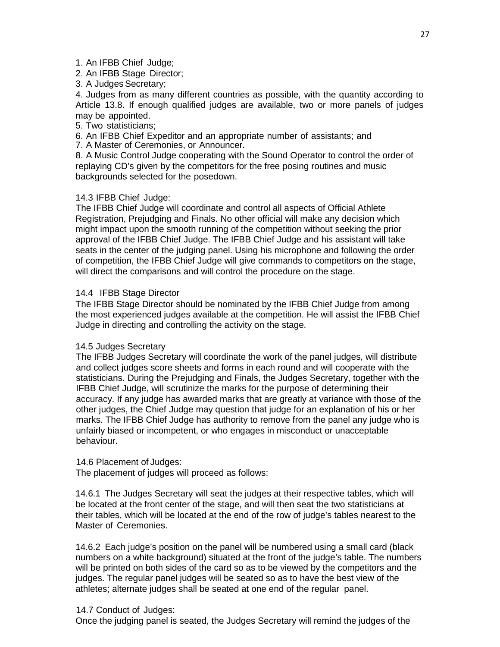# 1. An IFBB Chief Judge;

2. An IFBB Stage Director;

3. A Judges Secretary;

4. Judges from as many different countries as possible, with the quantity according to Article 13.8. If enough qualified judges are available, two or more panels of judges may be appointed.

5. Two statisticians;

6. An IFBB Chief Expeditor and an appropriate number of assistants; and

7. A Master of Ceremonies, or Announcer.

8. A Music Control Judge cooperating with the Sound Operator to control the order of replaying CD's given by the competitors for the free posing routines and music backgrounds selected for the posedown.

# 14.3 IFBB Chief Judge:

The IFBB Chief Judge will coordinate and control all aspects of Official Athlete Registration, Prejudging and Finals. No other official will make any decision which might impact upon the smooth running of the competition without seeking the prior approval of the IFBB Chief Judge. The IFBB Chief Judge and his assistant will take seats in the center of the judging panel. Using his microphone and following the order of competition, the IFBB Chief Judge will give commands to competitors on the stage, will direct the comparisons and will control the procedure on the stage.

# 14.4 IFBB Stage Director

The IFBB Stage Director should be nominated by the IFBB Chief Judge from among the most experienced judges available at the competition. He will assist the IFBB Chief Judge in directing and controlling the activity on the stage.

# 14.5 Judges Secretary

The IFBB Judges Secretary will coordinate the work of the panel judges, will distribute and collect judges score sheets and forms in each round and will cooperate with the statisticians. During the Prejudging and Finals, the Judges Secretary, together with the IFBB Chief Judge, will scrutinize the marks for the purpose of determining their accuracy. If any judge has awarded marks that are greatly at variance with those of the other judges, the Chief Judge may question that judge for an explanation of his or her marks. The IFBB Chief Judge has authority to remove from the panel any judge who is unfairly biased or incompetent, or who engages in misconduct or unacceptable behaviour.

# 14.6 Placement of Judges:

The placement of judges will proceed as follows:

14.6.1 The Judges Secretary will seat the judges at their respective tables, which will be located at the front center of the stage, and will then seat the two statisticians at their tables, which will be located at the end of the row of judge's tables nearest to the Master of Ceremonies.

14.6.2 Each judge's position on the panel will be numbered using a small card (black numbers on a white background) situated at the front of the judge's table. The numbers will be printed on both sides of the card so as to be viewed by the competitors and the judges. The regular panel judges will be seated so as to have the best view of the athletes; alternate judges shall be seated at one end of the regular panel.

# 14.7 Conduct of Judges:

Once the judging panel is seated, the Judges Secretary will remind the judges of the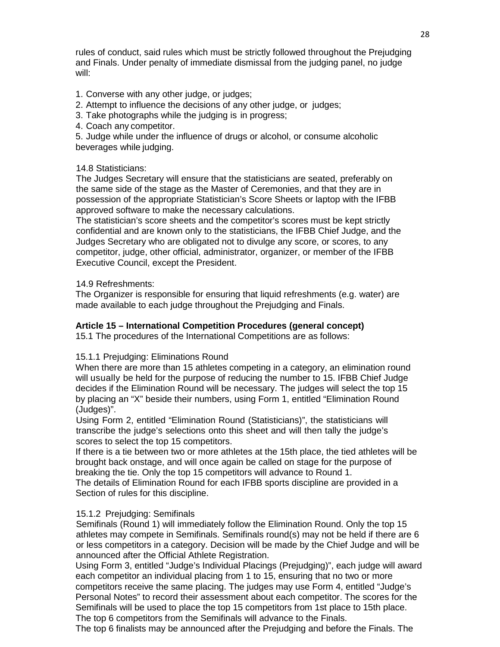rules of conduct, said rules which must be strictly followed throughout the Prejudging and Finals. Under penalty of immediate dismissal from the judging panel, no judge will:

- 1. Converse with any other judge, or judges;
- 2. Attempt to influence the decisions of any other judge, or judges;
- 3. Take photographs while the judging is in progress;
- 4. Coach any competitor.

5. Judge while under the influence of drugs or alcohol, or consume alcoholic beverages while judging.

# 14.8 Statisticians:

The Judges Secretary will ensure that the statisticians are seated, preferably on the same side of the stage as the Master of Ceremonies, and that they are in possession of the appropriate Statistician's Score Sheets or laptop with the IFBB approved software to make the necessary calculations.

The statistician's score sheets and the competitor's scores must be kept strictly confidential and are known only to the statisticians, the IFBB Chief Judge, and the Judges Secretary who are obligated not to divulge any score, or scores, to any competitor, judge, other official, administrator, organizer, or member of the IFBB Executive Council, except the President.

# 14.9 Refreshments:

The Organizer is responsible for ensuring that liquid refreshments (e.g. water) are made available to each judge throughout the Prejudging and Finals.

# **Article 15 – International Competition Procedures (general concept)**

15.1 The procedures of the International Competitions are as follows:

# 15.1.1 Prejudging: Eliminations Round

When there are more than 15 athletes competing in a category, an elimination round will usually be held for the purpose of reducing the number to 15. IFBB Chief Judge decides if the Elimination Round will be necessary. The judges will select the top 15 by placing an "X" beside their numbers, using Form 1, entitled "Elimination Round (Judges)".

Using Form 2, entitled "Elimination Round (Statisticians)", the statisticians will transcribe the judge's selections onto this sheet and will then tally the judge's scores to select the top 15 competitors.

If there is a tie between two or more athletes at the 15th place, the tied athletes will be brought back onstage, and will once again be called on stage for the purpose of breaking the tie. Only the top 15 competitors will advance to Round 1.

The details of Elimination Round for each IFBB sports discipline are provided in a Section of rules for this discipline.

# 15.1.2 Prejudging: Semifinals

Semifinals (Round 1) will immediately follow the Elimination Round. Only the top 15 athletes may compete in Semifinals. Semifinals round(s) may not be held if there are 6 or less competitors in a category. Decision will be made by the Chief Judge and will be announced after the Official Athlete Registration.

Using Form 3, entitled "Judge's Individual Placings (Prejudging)", each judge will award each competitor an individual placing from 1 to 15, ensuring that no two or more competitors receive the same placing. The judges may use Form 4, entitled "Judge's Personal Notes" to record their assessment about each competitor. The scores for the Semifinals will be used to place the top 15 competitors from 1st place to 15th place. The top 6 competitors from the Semifinals will advance to the Finals.

The top 6 finalists may be announced after the Prejudging and before the Finals. The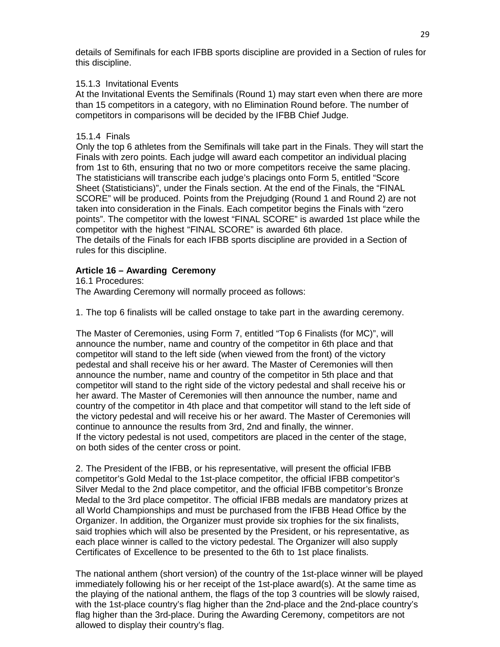details of Semifinals for each IFBB sports discipline are provided in a Section of rules for this discipline.

# 15.1.3 Invitational Events

At the Invitational Events the Semifinals (Round 1) may start even when there are more than 15 competitors in a category, with no Elimination Round before. The number of competitors in comparisons will be decided by the IFBB Chief Judge.

# 15.1.4 Finals

Only the top 6 athletes from the Semifinals will take part in the Finals. They will start the Finals with zero points. Each judge will award each competitor an individual placing from 1st to 6th, ensuring that no two or more competitors receive the same placing. The statisticians will transcribe each judge's placings onto Form 5, entitled "Score Sheet (Statisticians)", under the Finals section. At the end of the Finals, the "FINAL SCORE" will be produced. Points from the Prejudging (Round 1 and Round 2) are not taken into consideration in the Finals. Each competitor begins the Finals with "zero points". The competitor with the lowest "FINAL SCORE" is awarded 1st place while the competitor with the highest "FINAL SCORE" is awarded 6th place. The details of the Finals for each IFBB sports discipline are provided in a Section of rules for this discipline.

# **Article 16 – Awarding Ceremony**

16.1 Procedures: The Awarding Ceremony will normally proceed as follows:

1. The top 6 finalists will be called onstage to take part in the awarding ceremony.

The Master of Ceremonies, using Form 7, entitled "Top 6 Finalists (for MC)", will announce the number, name and country of the competitor in 6th place and that competitor will stand to the left side (when viewed from the front) of the victory pedestal and shall receive his or her award. The Master of Ceremonies will then announce the number, name and country of the competitor in 5th place and that competitor will stand to the right side of the victory pedestal and shall receive his or her award. The Master of Ceremonies will then announce the number, name and country of the competitor in 4th place and that competitor will stand to the left side of the victory pedestal and will receive his or her award. The Master of Ceremonies will continue to announce the results from 3rd, 2nd and finally, the winner. If the victory pedestal is not used, competitors are placed in the center of the stage, on both sides of the center cross or point.

2. The President of the IFBB, or his representative, will present the official IFBB competitor's Gold Medal to the 1st-place competitor, the official IFBB competitor's Silver Medal to the 2nd place competitor, and the official IFBB competitor's Bronze Medal to the 3rd place competitor. The official IFBB medals are mandatory prizes at all World Championships and must be purchased from the IFBB Head Office by the Organizer. In addition, the Organizer must provide six trophies for the six finalists, said trophies which will also be presented by the President, or his representative, as each place winner is called to the victory pedestal. The Organizer will also supply Certificates of Excellence to be presented to the 6th to 1st place finalists.

The national anthem (short version) of the country of the 1st-place winner will be played immediately following his or her receipt of the 1st-place award(s). At the same time as the playing of the national anthem, the flags of the top 3 countries will be slowly raised, with the 1st-place country's flag higher than the 2nd-place and the 2nd-place country's flag higher than the 3rd-place. During the Awarding Ceremony, competitors are not allowed to display their country's flag.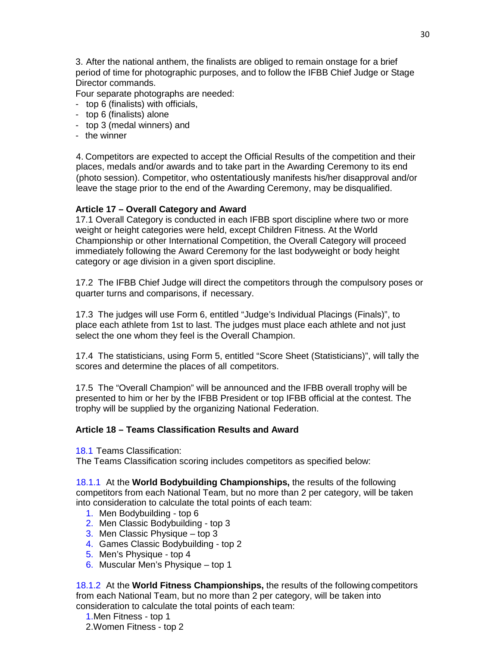3. After the national anthem, the finalists are obliged to remain onstage for a brief period of time for photographic purposes, and to follow the IFBB Chief Judge or Stage Director commands.

Four separate photographs are needed:

- top 6 (finalists) with officials,
- top 6 (finalists) alone
- top 3 (medal winners) and
- the winner

4. Competitors are expected to accept the Official Results of the competition and their places, medals and/or awards and to take part in the Awarding Ceremony to its end (photo session). Competitor, who ostentatiously manifests his/her disapproval and/or leave the stage prior to the end of the Awarding Ceremony, may be disqualified.

# **Article 17 – Overall Category and Award**

17.1 Overall Category is conducted in each IFBB sport discipline where two or more weight or height categories were held, except Children Fitness. At the World Championship or other International Competition, the Overall Category will proceed immediately following the Award Ceremony for the last bodyweight or body height category or age division in a given sport discipline.

17.2 The IFBB Chief Judge will direct the competitors through the compulsory poses or quarter turns and comparisons, if necessary.

17.3 The judges will use Form 6, entitled "Judge's Individual Placings (Finals)", to place each athlete from 1st to last. The judges must place each athlete and not just select the one whom they feel is the Overall Champion.

17.4 The statisticians, using Form 5, entitled "Score Sheet (Statisticians)", will tally the scores and determine the places of all competitors.

17.5 The "Overall Champion" will be announced and the IFBB overall trophy will be presented to him or her by the IFBB President or top IFBB official at the contest. The trophy will be supplied by the organizing National Federation.

# **Article 18 – Teams Classification Results and Award**

18.1 Teams Classification:

The Teams Classification scoring includes competitors as specified below:

18.1.1 At the **World Bodybuilding Championships,** the results of the following competitors from each National Team, but no more than 2 per category, will be taken into consideration to calculate the total points of each team:

- 1. Men Bodybuilding top 6
- 2. Men Classic Bodybuilding top 3
- 3. Men Classic Physique top 3
- 4. Games Classic Bodybuilding top 2
- 5. Men's Physique top 4
- 6. Muscular Men's Physique top 1

18.1.2 At the **World Fitness Championships,** the results of the following competitors from each National Team, but no more than 2 per category, will be taken into consideration to calculate the total points of each team:

1.Men Fitness - top 1 2.Women Fitness - top 2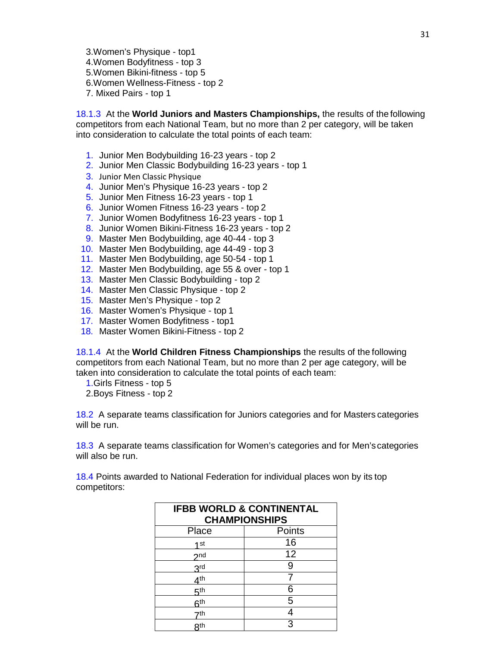3.Women's Physique - top1 4.Women Bodyfitness - top 3 5.Women Bikini-fitness - top 5 6.Women Wellness-Fitness - top 2 7. Mixed Pairs - top 1

18.1.3 At the **World Juniors and Masters Championships,** the results of the following competitors from each National Team, but no more than 2 per category, will be taken into consideration to calculate the total points of each team:

- 1. Junior Men Bodybuilding 16-23 years top 2
- 2. Junior Men Classic Bodybuilding 16-23 years top 1
- 3. Junior Men Classic Physique
- 4. Junior Men's Physique 16-23 years top 2
- 5. Junior Men Fitness 16-23 years top 1
- 6. Junior Women Fitness 16-23 years top 2
- 7. Junior Women Bodyfitness 16-23 years top 1
- 8. Junior Women Bikini-Fitness 16-23 years top 2
- 9. Master Men Bodybuilding, age 40-44 top 3
- 10. Master Men Bodybuilding, age 44-49 top 3
- 11. Master Men Bodybuilding, age 50-54 top 1
- 12. Master Men Bodybuilding, age 55 & over top 1
- 13. Master Men Classic Bodybuilding top 2
- 14. Master Men Classic Physique top 2
- 15. Master Men's Physique top 2
- 16. Master Women's Physique top 1
- 17. Master Women Bodyfitness top1
- 18. Master Women Bikini-Fitness top 2

18.1.4 At the **World Children Fitness Championships** the results of the following competitors from each National Team, but no more than 2 per age category, will be taken into consideration to calculate the total points of each team:

1.Girls Fitness - top 5

2.Boys Fitness - top 2

18.2 A separate teams classification for Juniors categories and for Masters categories will be run.

18.3 A separate teams classification for Women's categories and for Men'scategories will also be run.

18.4 Points awarded to National Federation for individual places won by its top competitors:

| <b>IFBB WORLD &amp; CONTINENTAL</b><br><b>CHAMPIONSHIPS</b> |        |  |
|-------------------------------------------------------------|--------|--|
|                                                             |        |  |
| Place                                                       | Points |  |
| 1st                                                         | 16     |  |
| 2n <sub>d</sub>                                             | 12     |  |
| <b>2rd</b>                                                  |        |  |
| 4 <sup>th</sup>                                             |        |  |
| ξth                                                         | 6      |  |
| 6 <sup>th</sup>                                             | 5      |  |
| 7th                                                         |        |  |
| Qth                                                         |        |  |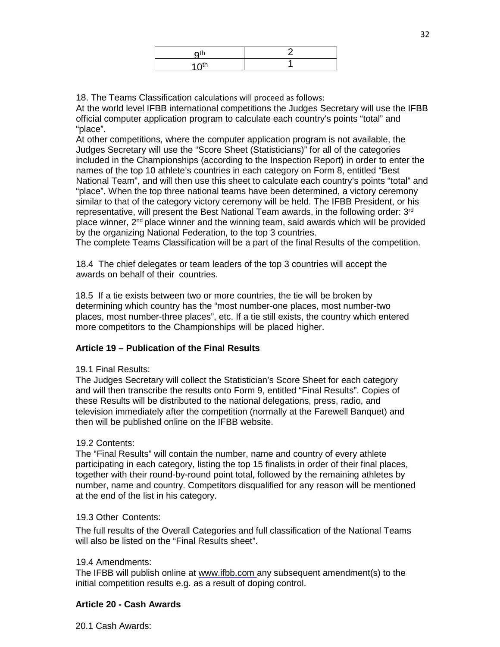| $\Omega$ <sup>th</sup> |  |
|------------------------|--|
| $1$ $\cap$ th          |  |

18. The Teams Classification calculations will proceed as follows:

At the world level IFBB international competitions the Judges Secretary will use the IFBB official computer application program to calculate each country's points "total" and "place".

At other competitions, where the computer application program is not available, the Judges Secretary will use the "Score Sheet (Statisticians)" for all of the categories included in the Championships (according to the Inspection Report) in order to enter the names of the top 10 athlete's countries in each category on Form 8, entitled "Best National Team", and will then use this sheet to calculate each country's points "total" and "place". When the top three national teams have been determined, a victory ceremony similar to that of the category victory ceremony will be held. The IFBB President, or his representative, will present the Best National Team awards, in the following order: 3<sup>rd</sup> place winner,  $2<sup>nd</sup>$  place winner and the winning team, said awards which will be provided by the organizing National Federation, to the top 3 countries.

The complete Teams Classification will be a part of the final Results of the competition.

18.4 The chief delegates or team leaders of the top 3 countries will accept the awards on behalf of their countries.

18.5 If a tie exists between two or more countries, the tie will be broken by determining which country has the "most number-one places, most number-two places, most number-three places", etc. If a tie still exists, the country which entered more competitors to the Championships will be placed higher.

# **Article 19 – Publication of the Final Results**

#### 19.1 Final Results:

The Judges Secretary will collect the Statistician's Score Sheet for each category and will then transcribe the results onto Form 9, entitled "Final Results". Copies of these Results will be distributed to the national delegations, press, radio, and television immediately after the competition (normally at the Farewell Banquet) and then will be published online on the IFBB website.

# 19.2 Contents:

The "Final Results" will contain the number, name and country of every athlete participating in each category, listing the top 15 finalists in order of their final places, together with their round-by-round point total, followed by the remaining athletes by number, name and country. Competitors disqualified for any reason will be mentioned at the end of the list in his category.

# 19.3 Other Contents:

The full results of the Overall Categories and full classification of the National Teams will also be listed on the "Final Results sheet".

### 19.4 Amendments:

The IFBB will publish online at [www.ifbb.com any s](http://www.ifbb.comany/)ubsequent amendment(s) to the initial competition results e.g. as a result of doping control.

# **Article 20 - Cash Awards**

20.1 Cash Awards: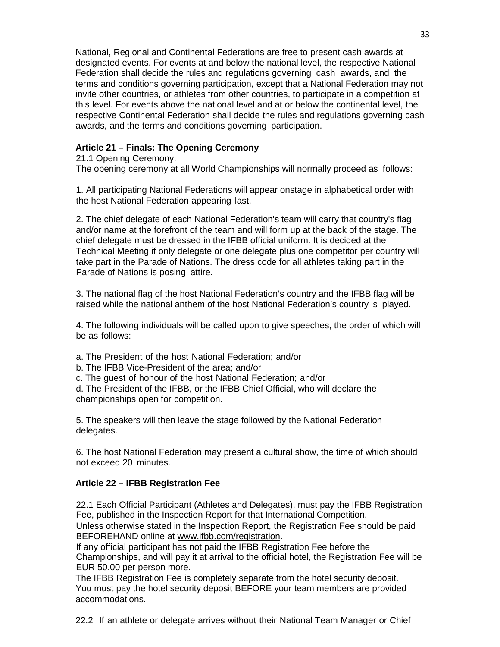National, Regional and Continental Federations are free to present cash awards at designated events. For events at and below the national level, the respective National Federation shall decide the rules and regulations governing cash awards, and the terms and conditions governing participation, except that a National Federation may not invite other countries, or athletes from other countries, to participate in a competition at this level. For events above the national level and at or below the continental level, the respective Continental Federation shall decide the rules and regulations governing cash awards, and the terms and conditions governing participation.

# **Article 21 – Finals: The Opening Ceremony**

# 21.1 Opening Ceremony:

The opening ceremony at all World Championships will normally proceed as follows:

1. All participating National Federations will appear onstage in alphabetical order with the host National Federation appearing last.

2. The chief delegate of each National Federation's team will carry that country's flag and/or name at the forefront of the team and will form up at the back of the stage. The chief delegate must be dressed in the IFBB official uniform. It is decided at the Technical Meeting if only delegate or one delegate plus one competitor per country will take part in the Parade of Nations. The dress code for all athletes taking part in the Parade of Nations is posing attire.

3. The national flag of the host National Federation's country and the IFBB flag will be raised while the national anthem of the host National Federation's country is played.

4. The following individuals will be called upon to give speeches, the order of which will be as follows:

- a. The President of the host National Federation; and/or
- b. The IFBB Vice-President of the area; and/or
- c. The guest of honour of the host National Federation; and/or

d. The President of the IFBB, or the IFBB Chief Official, who will declare the championships open for competition.

5. The speakers will then leave the stage followed by the National Federation delegates.

6. The host National Federation may present a cultural show, the time of which should not exceed 20 minutes.

# **Article 22 – IFBB Registration Fee**

22.1 Each Official Participant (Athletes and Delegates), must pay the IFBB Registration Fee, published in the Inspection Report for that International Competition.

Unless otherwise stated in the Inspection Report, the Registration Fee should be paid BEFOREHAND online at [www.ifbb.com/registration.](http://www.ifbb.com/registration)

If any official participant has not paid the IFBB Registration Fee before the Championships, and will pay it at arrival to the official hotel, the Registration Fee will be EUR 50.00 per person more.

The IFBB Registration Fee is completely separate from the hotel security deposit. You must pay the hotel security deposit BEFORE your team members are provided accommodations.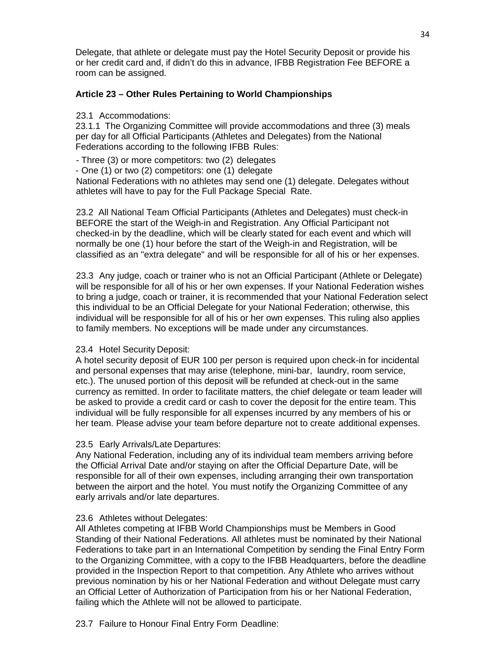Delegate, that athlete or delegate must pay the Hotel Security Deposit or provide his or her credit card and, if didn't do this in advance, IFBB Registration Fee BEFORE a room can be assigned.

# **Article 23 – Other Rules Pertaining to World Championships**

# 23.1 Accommodations:

23.1.1 The Organizing Committee will provide accommodations and three (3) meals per day for all Official Participants (Athletes and Delegates) from the National Federations according to the following IFBB Rules:

- Three (3) or more competitors: two (2) delegates

- One (1) or two (2) competitors: one (1) delegate

National Federations with no athletes may send one (1) delegate. Delegates without athletes will have to pay for the Full Package Special Rate.

23.2 All National Team Official Participants (Athletes and Delegates) must check-in BEFORE the start of the Weigh-in and Registration. Any Official Participant not checked-in by the deadline, which will be clearly stated for each event and which will normally be one (1) hour before the start of the Weigh-in and Registration, will be classified as an "extra delegate" and will be responsible for all of his or her expenses.

23.3 Any judge, coach or trainer who is not an Official Participant (Athlete or Delegate) will be responsible for all of his or her own expenses. If your National Federation wishes to bring a judge, coach or trainer, it is recommended that your National Federation select this individual to be an Official Delegate for your National Federation; otherwise, this individual will be responsible for all of his or her own expenses. This ruling also applies to family members. No exceptions will be made under any circumstances.

# 23.4 Hotel Security Deposit:

A hotel security deposit of EUR 100 per person is required upon check-in for incidental and personal expenses that may arise (telephone, mini-bar, laundry, room service, etc.). The unused portion of this deposit will be refunded at check-out in the same currency as remitted. In order to facilitate matters, the chief delegate or team leader will be asked to provide a credit card or cash to cover the deposit for the entire team. This individual will be fully responsible for all expenses incurred by any members of his or her team. Please advise your team before departure not to create additional expenses.

# 23.5 Early Arrivals/Late Departures:

Any National Federation, including any of its individual team members arriving before the Official Arrival Date and/or staying on after the Official Departure Date, will be responsible for all of their own expenses, including arranging their own transportation between the airport and the hotel. You must notify the Organizing Committee of any early arrivals and/or late departures.

# 23.6 Athletes without Delegates:

All Athletes competing at IFBB World Championships must be Members in Good Standing of their National Federations. All athletes must be nominated by their National Federations to take part in an International Competition by sending the Final Entry Form to the Organizing Committee, with a copy to the IFBB Headquarters, before the deadline provided in the Inspection Report to that competition. Any Athlete who arrives without previous nomination by his or her National Federation and without Delegate must carry an Official Letter of Authorization of Participation from his or her National Federation, failing which the Athlete will not be allowed to participate.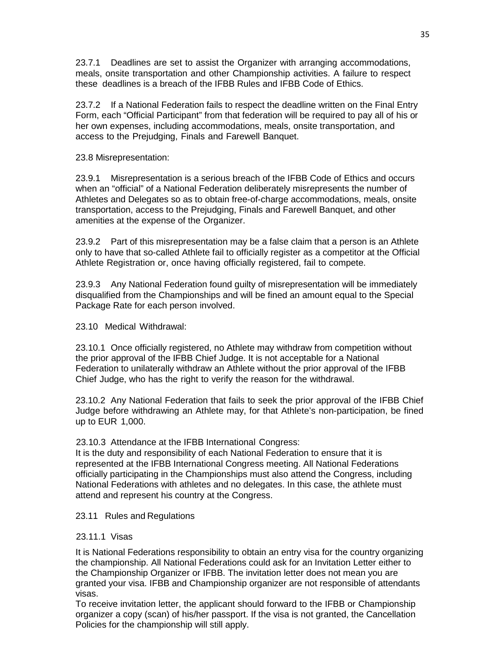23.7.1 Deadlines are set to assist the Organizer with arranging accommodations, meals, onsite transportation and other Championship activities. A failure to respect these deadlines is a breach of the IFBB Rules and IFBB Code of Ethics.

23.7.2 If a National Federation fails to respect the deadline written on the Final Entry Form, each "Official Participant" from that federation will be required to pay all of his or her own expenses, including accommodations, meals, onsite transportation, and access to the Prejudging, Finals and Farewell Banquet.

23.8 Misrepresentation:

23.9.1 Misrepresentation is a serious breach of the IFBB Code of Ethics and occurs when an "official" of a National Federation deliberately misrepresents the number of Athletes and Delegates so as to obtain free-of-charge accommodations, meals, onsite transportation, access to the Prejudging, Finals and Farewell Banquet, and other amenities at the expense of the Organizer.

23.9.2 Part of this misrepresentation may be a false claim that a person is an Athlete only to have that so-called Athlete fail to officially register as a competitor at the Official Athlete Registration or, once having officially registered, fail to compete.

23.9.3 Any National Federation found guilty of misrepresentation will be immediately disqualified from the Championships and will be fined an amount equal to the Special Package Rate for each person involved.

23.10 Medical Withdrawal:

23.10.1 Once officially registered, no Athlete may withdraw from competition without the prior approval of the IFBB Chief Judge. It is not acceptable for a National Federation to unilaterally withdraw an Athlete without the prior approval of the IFBB Chief Judge, who has the right to verify the reason for the withdrawal.

23.10.2 Any National Federation that fails to seek the prior approval of the IFBB Chief Judge before withdrawing an Athlete may, for that Athlete's non-participation, be fined up to EUR 1,000.

23.10.3 Attendance at the IFBB International Congress:

It is the duty and responsibility of each National Federation to ensure that it is represented at the IFBB International Congress meeting. All National Federations officially participating in the Championships must also attend the Congress, including National Federations with athletes and no delegates. In this case, the athlete must attend and represent his country at the Congress.

# 23.11 Rules and Regulations

# 23.11.1 Visas

It is National Federations responsibility to obtain an entry visa for the country organizing the championship. All National Federations could ask for an Invitation Letter either to the Championship Organizer or IFBB. The invitation letter does not mean you are granted your visa. IFBB and Championship organizer are not responsible of attendants visas.

To receive invitation letter, the applicant should forward to the IFBB or Championship organizer a copy (scan) of his/her passport. If the visa is not granted, the Cancellation Policies for the championship will still apply.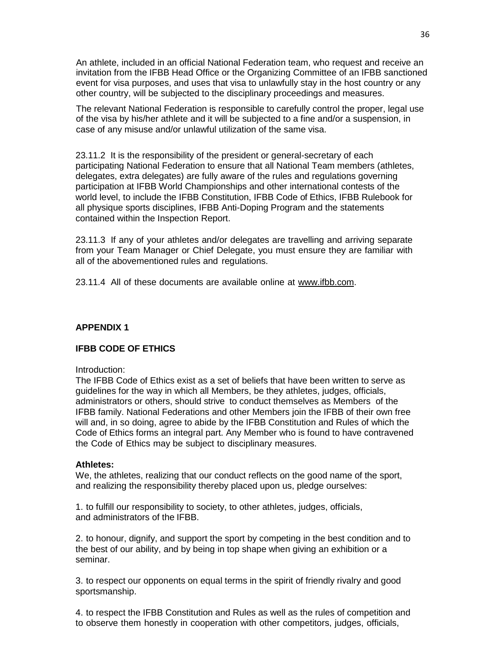An athlete, included in an official National Federation team, who request and receive an invitation from the IFBB Head Office or the Organizing Committee of an IFBB sanctioned event for visa purposes, and uses that visa to unlawfully stay in the host country or any other country, will be subjected to the disciplinary proceedings and measures.

The relevant National Federation is responsible to carefully control the proper, legal use of the visa by his/her athlete and it will be subjected to a fine and/or a suspension, in case of any misuse and/or unlawful utilization of the same visa.

23.11.2 It is the responsibility of the president or general-secretary of each participating National Federation to ensure that all National Team members (athletes, delegates, extra delegates) are fully aware of the rules and regulations governing participation at IFBB World Championships and other international contests of the world level, to include the IFBB Constitution, IFBB Code of Ethics, IFBB Rulebook for all physique sports disciplines, IFBB Anti-Doping Program and the statements contained within the Inspection Report.

23.11.3 If any of your athletes and/or delegates are travelling and arriving separate from your Team Manager or Chief Delegate, you must ensure they are familiar with all of the abovementioned rules and regulations.

23.11.4 All of these documents are available online at [www.ifbb.com.](http://www.ifbb.com/)

# **APPENDIX 1**

# **IFBB CODE OF ETHICS**

#### Introduction:

The IFBB Code of Ethics exist as a set of beliefs that have been written to serve as guidelines for the way in which all Members, be they athletes, judges, officials, administrators or others, should strive to conduct themselves as Members of the IFBB family. National Federations and other Members join the IFBB of their own free will and, in so doing, agree to abide by the IFBB Constitution and Rules of which the Code of Ethics forms an integral part. Any Member who is found to have contravened the Code of Ethics may be subject to disciplinary measures.

#### **Athletes:**

We, the athletes, realizing that our conduct reflects on the good name of the sport, and realizing the responsibility thereby placed upon us, pledge ourselves:

1. to fulfill our responsibility to society, to other athletes, judges, officials, and administrators of the IFBB.

2. to honour, dignify, and support the sport by competing in the best condition and to the best of our ability, and by being in top shape when giving an exhibition or a seminar.

3. to respect our opponents on equal terms in the spirit of friendly rivalry and good sportsmanship.

4. to respect the IFBB Constitution and Rules as well as the rules of competition and to observe them honestly in cooperation with other competitors, judges, officials,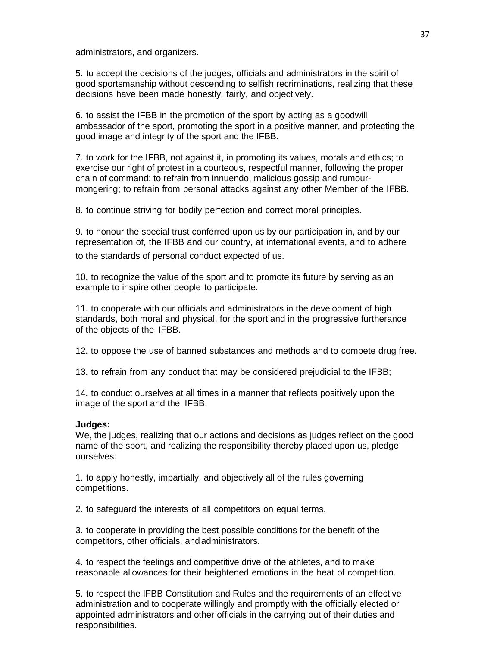administrators, and organizers.

5. to accept the decisions of the judges, officials and administrators in the spirit of good sportsmanship without descending to selfish recriminations, realizing that these decisions have been made honestly, fairly, and objectively.

6. to assist the IFBB in the promotion of the sport by acting as a goodwill ambassador of the sport, promoting the sport in a positive manner, and protecting the good image and integrity of the sport and the IFBB.

7. to work for the IFBB, not against it, in promoting its values, morals and ethics; to exercise our right of protest in a courteous, respectful manner, following the proper chain of command; to refrain from innuendo, malicious gossip and rumourmongering; to refrain from personal attacks against any other Member of the IFBB.

8. to continue striving for bodily perfection and correct moral principles.

9. to honour the special trust conferred upon us by our participation in, and by our representation of, the IFBB and our country, at international events, and to adhere to the standards of personal conduct expected of us.

10. to recognize the value of the sport and to promote its future by serving as an example to inspire other people to participate.

11. to cooperate with our officials and administrators in the development of high standards, both moral and physical, for the sport and in the progressive furtherance of the objects of the IFBB.

12. to oppose the use of banned substances and methods and to compete drug free.

13. to refrain from any conduct that may be considered prejudicial to the IFBB;

14. to conduct ourselves at all times in a manner that reflects positively upon the image of the sport and the IFBB.

# **Judges:**

We, the judges, realizing that our actions and decisions as judges reflect on the good name of the sport, and realizing the responsibility thereby placed upon us, pledge ourselves:

1. to apply honestly, impartially, and objectively all of the rules governing competitions.

2. to safeguard the interests of all competitors on equal terms.

3. to cooperate in providing the best possible conditions for the benefit of the competitors, other officials, andadministrators.

4. to respect the feelings and competitive drive of the athletes, and to make reasonable allowances for their heightened emotions in the heat of competition.

5. to respect the IFBB Constitution and Rules and the requirements of an effective administration and to cooperate willingly and promptly with the officially elected or appointed administrators and other officials in the carrying out of their duties and responsibilities.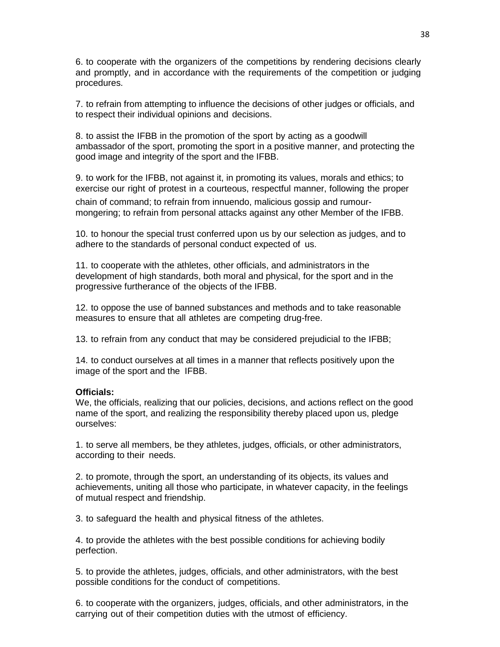6. to cooperate with the organizers of the competitions by rendering decisions clearly and promptly, and in accordance with the requirements of the competition or judging procedures.

7. to refrain from attempting to influence the decisions of other judges or officials, and to respect their individual opinions and decisions.

8. to assist the IFBB in the promotion of the sport by acting as a goodwill ambassador of the sport, promoting the sport in a positive manner, and protecting the good image and integrity of the sport and the IFBB.

9. to work for the IFBB, not against it, in promoting its values, morals and ethics; to exercise our right of protest in a courteous, respectful manner, following the proper chain of command; to refrain from innuendo, malicious gossip and rumourmongering; to refrain from personal attacks against any other Member of the IFBB.

10. to honour the special trust conferred upon us by our selection as judges, and to adhere to the standards of personal conduct expected of us.

11. to cooperate with the athletes, other officials, and administrators in the development of high standards, both moral and physical, for the sport and in the progressive furtherance of the objects of the IFBB.

12. to oppose the use of banned substances and methods and to take reasonable measures to ensure that all athletes are competing drug-free.

13. to refrain from any conduct that may be considered prejudicial to the IFBB;

14. to conduct ourselves at all times in a manner that reflects positively upon the image of the sport and the IFBB.

#### **Officials:**

We, the officials, realizing that our policies, decisions, and actions reflect on the good name of the sport, and realizing the responsibility thereby placed upon us, pledge ourselves:

1. to serve all members, be they athletes, judges, officials, or other administrators, according to their needs.

2. to promote, through the sport, an understanding of its objects, its values and achievements, uniting all those who participate, in whatever capacity, in the feelings of mutual respect and friendship.

3. to safeguard the health and physical fitness of the athletes.

4. to provide the athletes with the best possible conditions for achieving bodily perfection.

5. to provide the athletes, judges, officials, and other administrators, with the best possible conditions for the conduct of competitions.

6. to cooperate with the organizers, judges, officials, and other administrators, in the carrying out of their competition duties with the utmost of efficiency.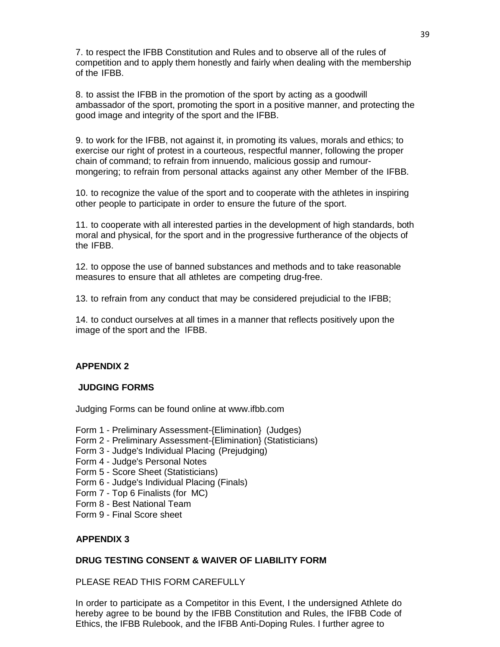7. to respect the IFBB Constitution and Rules and to observe all of the rules of competition and to apply them honestly and fairly when dealing with the membership of the IFBB.

8. to assist the IFBB in the promotion of the sport by acting as a goodwill ambassador of the sport, promoting the sport in a positive manner, and protecting the good image and integrity of the sport and the IFBB.

9. to work for the IFBB, not against it, in promoting its values, morals and ethics; to exercise our right of protest in a courteous, respectful manner, following the proper chain of command; to refrain from innuendo, malicious gossip and rumourmongering; to refrain from personal attacks against any other Member of the IFBB.

10. to recognize the value of the sport and to cooperate with the athletes in inspiring other people to participate in order to ensure the future of the sport.

11. to cooperate with all interested parties in the development of high standards, both moral and physical, for the sport and in the progressive furtherance of the objects of the IFBB.

12. to oppose the use of banned substances and methods and to take reasonable measures to ensure that all athletes are competing drug-free.

13. to refrain from any conduct that may be considered prejudicial to the IFBB;

14. to conduct ourselves at all times in a manner that reflects positively upon the image of the sport and the IFBB.

# **APPENDIX 2**

# **JUDGING FORMS**

Judging Forms can be found online at [www.ifbb.com](http://www.ifbb.com/)

- Form 1 Preliminary Assessment-{Elimination} (Judges)
- Form 2 Preliminary Assessment-{Elimination} (Statisticians)
- Form 3 Judge's Individual Placing (Prejudging)
- Form 4 Judge's Personal Notes
- Form 5 Score Sheet (Statisticians)
- Form 6 Judge's Individual Placing (Finals)
- Form 7 Top 6 Finalists (for MC)
- Form 8 Best National Team
- Form 9 Final Score sheet

# **APPENDIX 3**

# **DRUG TESTING CONSENT & WAIVER OF LIABILITY FORM**

PLEASE READ THIS FORM CAREFULLY

In order to participate as a Competitor in this Event, I the undersigned Athlete do hereby agree to be bound by the IFBB Constitution and Rules, the IFBB Code of Ethics, the IFBB Rulebook, and the IFBB Anti-Doping Rules. I further agree to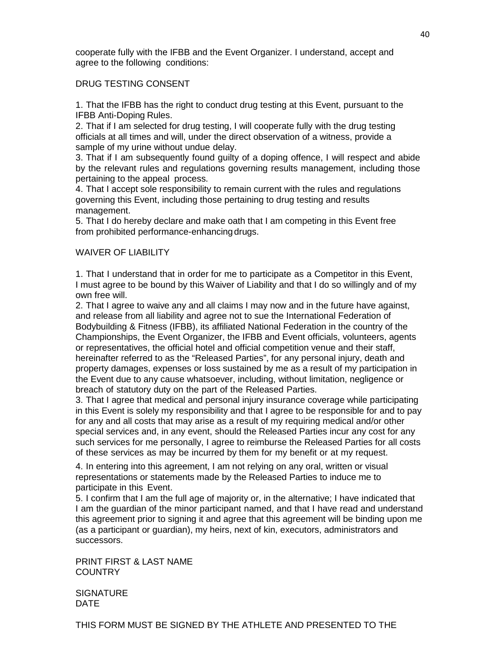cooperate fully with the IFBB and the Event Organizer. I understand, accept and agree to the following conditions:

# DRUG TESTING CONSENT

1. That the IFBB has the right to conduct drug testing at this Event, pursuant to the IFBB Anti-Doping Rules.

2. That if I am selected for drug testing, I will cooperate fully with the drug testing officials at all times and will, under the direct observation of a witness, provide a sample of my urine without undue delay.

3. That if I am subsequently found guilty of a doping offence, I will respect and abide by the relevant rules and regulations governing results management, including those pertaining to the appeal process.

4. That I accept sole responsibility to remain current with the rules and regulations governing this Event, including those pertaining to drug testing and results management.

5. That I do hereby declare and make oath that I am competing in this Event free from prohibited performance-enhancing drugs.

# WAIVER OF LIABILITY

1. That I understand that in order for me to participate as a Competitor in this Event, I must agree to be bound by this Waiver of Liability and that I do so willingly and of my own free will.

2. That I agree to waive any and all claims I may now and in the future have against, and release from all liability and agree not to sue the International Federation of Bodybuilding & Fitness (IFBB), its affiliated National Federation in the country of the Championships, the Event Organizer, the IFBB and Event officials, volunteers, agents or representatives, the official hotel and official competition venue and their staff, hereinafter referred to as the "Released Parties", for any personal injury, death and property damages, expenses or loss sustained by me as a result of my participation in the Event due to any cause whatsoever, including, without limitation, negligence or breach of statutory duty on the part of the Released Parties.

3. That I agree that medical and personal injury insurance coverage while participating in this Event is solely my responsibility and that I agree to be responsible for and to pay for any and all costs that may arise as a result of my requiring medical and/or other special services and, in any event, should the Released Parties incur any cost for any such services for me personally, I agree to reimburse the Released Parties for all costs of these services as may be incurred by them for my benefit or at my request.

4. In entering into this agreement, I am not relying on any oral, written or visual representations or statements made by the Released Parties to induce me to participate in this Event.

5. I confirm that I am the full age of majority or, in the alternative; I have indicated that I am the guardian of the minor participant named, and that I have read and understand this agreement prior to signing it and agree that this agreement will be binding upon me (as a participant or guardian), my heirs, next of kin, executors, administrators and successors.

PRINT FIRST & LAST NAME **COUNTRY** 

**SIGNATURE** DATE

THIS FORM MUST BE SIGNED BY THE ATHLETE AND PRESENTED TO THE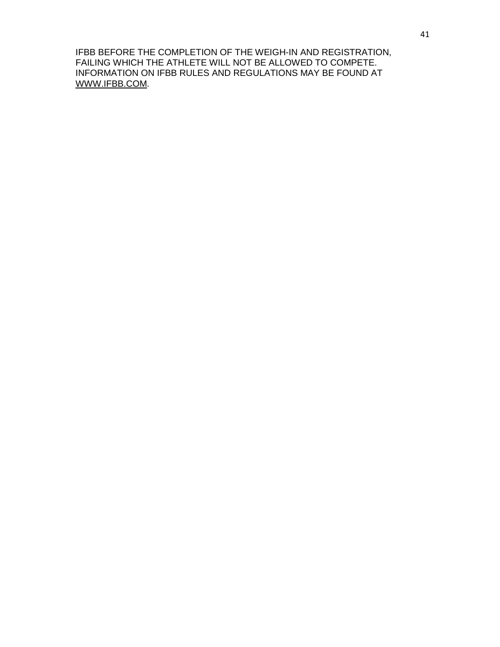IFBB BEFORE THE COMPLETION OF THE WEIGH-IN AND REGISTRATION, FAILING WHICH THE ATHLETE WILL NOT BE ALLOWED TO COMPETE. INFORMATION ON IFBB RULES AND REGULATIONS MAY BE FOUND AT [WWW.IFBB.COM.](http://www.ifbb.com/)